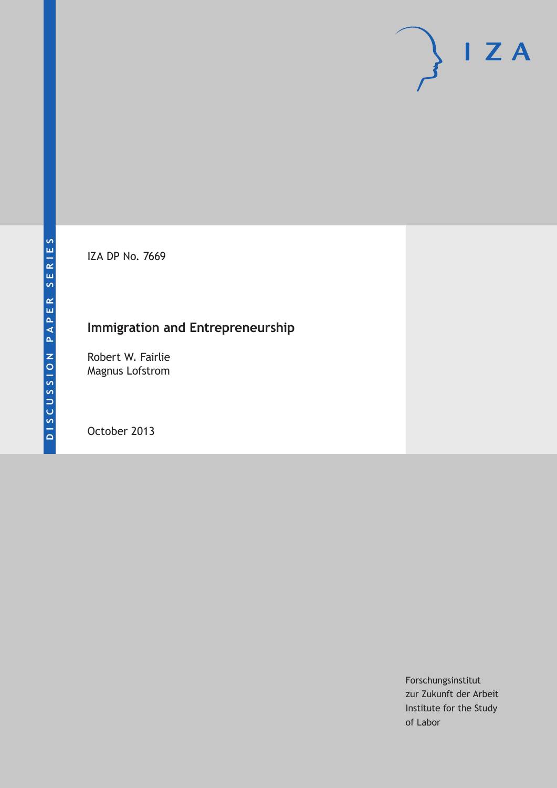IZA DP No. 7669

# **Immigration and Entrepreneurship**

Robert W. Fairlie Magnus Lofstrom

October 2013

Forschungsinstitut zur Zukunft der Arbeit Institute for the Study of Labor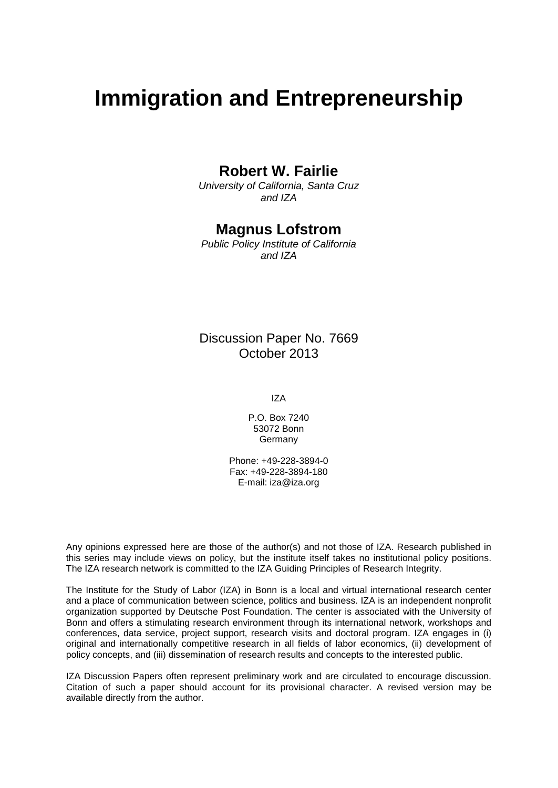# **Immigration and Entrepreneurship**

### **Robert W. Fairlie**

*University of California, Santa Cruz and IZA*

### **Magnus Lofstrom**

*Public Policy Institute of California and IZA*

### Discussion Paper No. 7669 October 2013

IZA

P.O. Box 7240 53072 Bonn **Germany** 

Phone: +49-228-3894-0 Fax: +49-228-3894-180 E-mail: [iza@iza.org](mailto:iza@iza.org)

Any opinions expressed here are those of the author(s) and not those of IZA. Research published in this series may include views on policy, but the institute itself takes no institutional policy positions. The IZA research network is committed to the IZA Guiding Principles of Research Integrity.

The Institute for the Study of Labor (IZA) in Bonn is a local and virtual international research center and a place of communication between science, politics and business. IZA is an independent nonprofit organization supported by Deutsche Post Foundation. The center is associated with the University of Bonn and offers a stimulating research environment through its international network, workshops and conferences, data service, project support, research visits and doctoral program. IZA engages in (i) original and internationally competitive research in all fields of labor economics, (ii) development of policy concepts, and (iii) dissemination of research results and concepts to the interested public.

IZA Discussion Papers often represent preliminary work and are circulated to encourage discussion. Citation of such a paper should account for its provisional character. A revised version may be available directly from the author.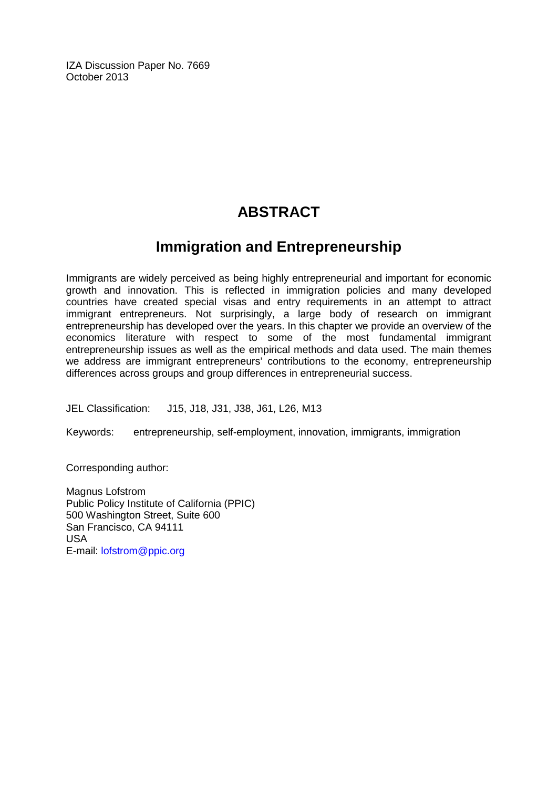IZA Discussion Paper No. 7669 October 2013

# **ABSTRACT**

## **Immigration and Entrepreneurship**

Immigrants are widely perceived as being highly entrepreneurial and important for economic growth and innovation. This is reflected in immigration policies and many developed countries have created special visas and entry requirements in an attempt to attract immigrant entrepreneurs. Not surprisingly, a large body of research on immigrant entrepreneurship has developed over the years. In this chapter we provide an overview of the economics literature with respect to some of the most fundamental immigrant entrepreneurship issues as well as the empirical methods and data used. The main themes we address are immigrant entrepreneurs' contributions to the economy, entrepreneurship differences across groups and group differences in entrepreneurial success.

JEL Classification: J15, J18, J31, J38, J61, L26, M13

Keywords: entrepreneurship, self-employment, innovation, immigrants, immigration

Corresponding author:

Magnus Lofstrom Public Policy Institute of California (PPIC) 500 Washington Street, Suite 600 San Francisco, CA 94111 USA E-mail: [lofstrom@ppic.org](mailto:lofstrom@ppic.org)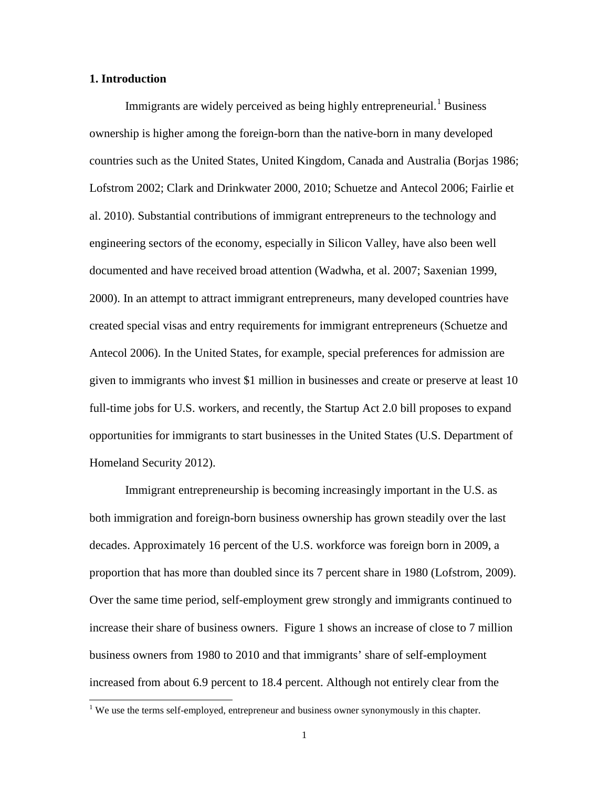#### **1. Introduction**

Immigrants are widely perceived as being highly entrepreneurial.<sup>[1](#page-3-0)</sup> Business ownership is higher among the foreign-born than the native-born in many developed countries such as the United States, United Kingdom, Canada and Australia (Borjas 1986; Lofstrom 2002; Clark and Drinkwater 2000, 2010; Schuetze and Antecol 2006; Fairlie et al. 2010). Substantial contributions of immigrant entrepreneurs to the technology and engineering sectors of the economy, especially in Silicon Valley, have also been well documented and have received broad attention (Wadwha, et al. 2007; Saxenian 1999, 2000). In an attempt to attract immigrant entrepreneurs, many developed countries have created special visas and entry requirements for immigrant entrepreneurs (Schuetze and Antecol 2006). In the United States, for example, special preferences for admission are given to immigrants who invest \$1 million in businesses and create or preserve at least 10 full-time jobs for U.S. workers, and recently, the Startup Act 2.0 bill proposes to expand opportunities for immigrants to start businesses in the United States (U.S. Department of Homeland Security 2012).

Immigrant entrepreneurship is becoming increasingly important in the U.S. as both immigration and foreign-born business ownership has grown steadily over the last decades. Approximately 16 percent of the U.S. workforce was foreign born in 2009, a proportion that has more than doubled since its 7 percent share in 1980 (Lofstrom, 2009). Over the same time period, self-employment grew strongly and immigrants continued to increase their share of business owners. Figure 1 shows an increase of close to 7 million business owners from 1980 to 2010 and that immigrants' share of self-employment increased from about 6.9 percent to 18.4 percent. Although not entirely clear from the

<span id="page-3-0"></span><sup>&</sup>lt;sup>1</sup> We use the terms self-employed, entrepreneur and business owner synonymously in this chapter.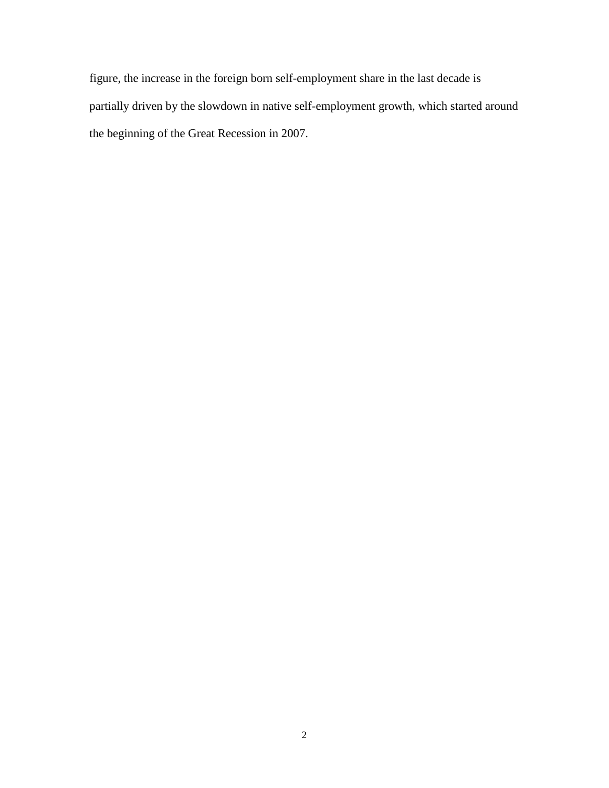figure, the increase in the foreign born self-employment share in the last decade is partially driven by the slowdown in native self-employment growth, which started around the beginning of the Great Recession in 2007.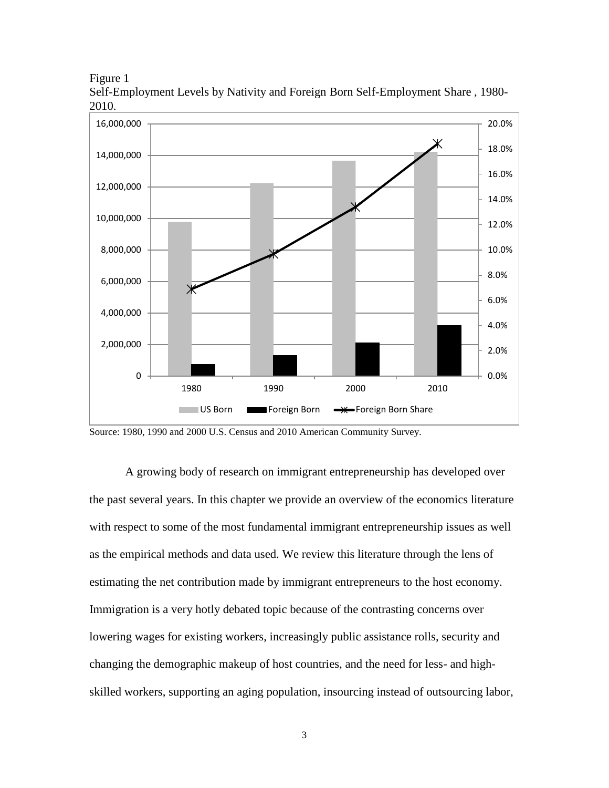Figure 1





Source: 1980, 1990 and 2000 U.S. Census and 2010 American Community Survey.

A growing body of research on immigrant entrepreneurship has developed over the past several years. In this chapter we provide an overview of the economics literature with respect to some of the most fundamental immigrant entrepreneurship issues as well as the empirical methods and data used. We review this literature through the lens of estimating the net contribution made by immigrant entrepreneurs to the host economy. Immigration is a very hotly debated topic because of the contrasting concerns over lowering wages for existing workers, increasingly public assistance rolls, security and changing the demographic makeup of host countries, and the need for less- and highskilled workers, supporting an aging population, insourcing instead of outsourcing labor,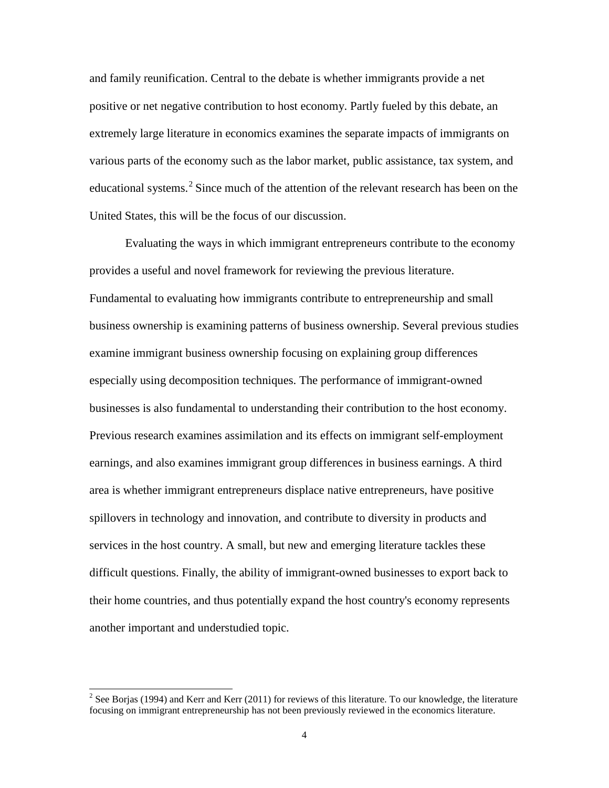and family reunification. Central to the debate is whether immigrants provide a net positive or net negative contribution to host economy. Partly fueled by this debate, an extremely large literature in economics examines the separate impacts of immigrants on various parts of the economy such as the labor market, public assistance, tax system, and educational systems.<sup>[2](#page-6-0)</sup> Since much of the attention of the relevant research has been on the United States, this will be the focus of our discussion.

Evaluating the ways in which immigrant entrepreneurs contribute to the economy provides a useful and novel framework for reviewing the previous literature. Fundamental to evaluating how immigrants contribute to entrepreneurship and small business ownership is examining patterns of business ownership. Several previous studies examine immigrant business ownership focusing on explaining group differences especially using decomposition techniques. The performance of immigrant-owned businesses is also fundamental to understanding their contribution to the host economy. Previous research examines assimilation and its effects on immigrant self-employment earnings, and also examines immigrant group differences in business earnings. A third area is whether immigrant entrepreneurs displace native entrepreneurs, have positive spillovers in technology and innovation, and contribute to diversity in products and services in the host country. A small, but new and emerging literature tackles these difficult questions. Finally, the ability of immigrant-owned businesses to export back to their home countries, and thus potentially expand the host country's economy represents another important and understudied topic.

<span id="page-6-0"></span> $2$  See Borjas (1994) and Kerr and Kerr (2011) for reviews of this literature. To our knowledge, the literature focusing on immigrant entrepreneurship has not been previously reviewed in the economics literature.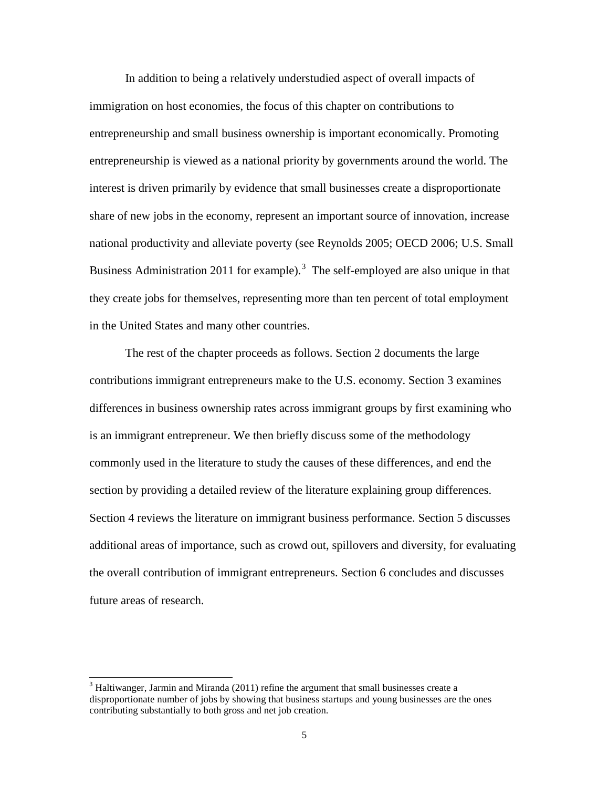In addition to being a relatively understudied aspect of overall impacts of immigration on host economies, the focus of this chapter on contributions to entrepreneurship and small business ownership is important economically. Promoting entrepreneurship is viewed as a national priority by governments around the world. The interest is driven primarily by evidence that small businesses create a disproportionate share of new jobs in the economy, represent an important source of innovation, increase national productivity and alleviate poverty (see Reynolds 2005; OECD 2006; U.S. Small Business Administration 2011 for example).<sup>[3](#page-7-0)</sup> The self-employed are also unique in that they create jobs for themselves, representing more than ten percent of total employment in the United States and many other countries.

The rest of the chapter proceeds as follows. Section 2 documents the large contributions immigrant entrepreneurs make to the U.S. economy. Section 3 examines differences in business ownership rates across immigrant groups by first examining who is an immigrant entrepreneur. We then briefly discuss some of the methodology commonly used in the literature to study the causes of these differences, and end the section by providing a detailed review of the literature explaining group differences. Section 4 reviews the literature on immigrant business performance. Section 5 discusses additional areas of importance, such as crowd out, spillovers and diversity, for evaluating the overall contribution of immigrant entrepreneurs. Section 6 concludes and discusses future areas of research.

<span id="page-7-0"></span> $3$  Haltiwanger, Jarmin and Miranda (2011) refine the argument that small businesses create a disproportionate number of jobs by showing that business startups and young businesses are the ones contributing substantially to both gross and net job creation.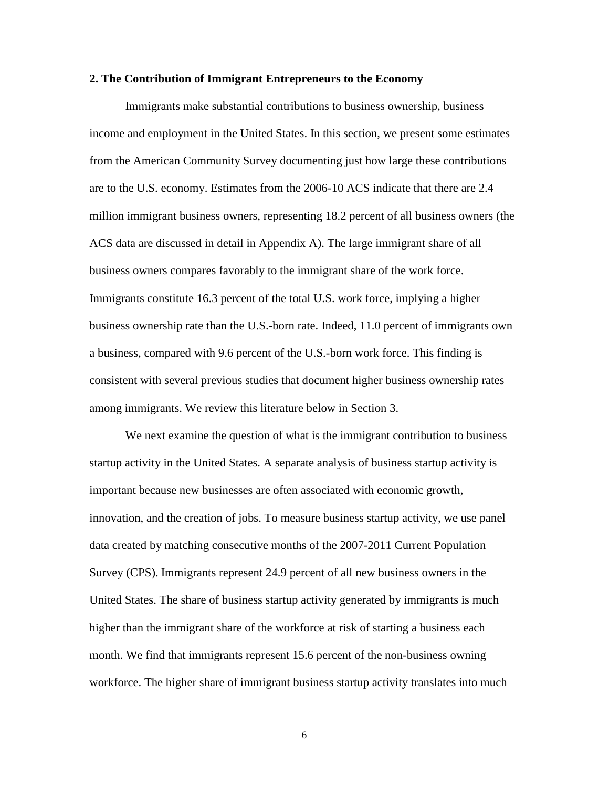#### **2. The Contribution of Immigrant Entrepreneurs to the Economy**

Immigrants make substantial contributions to business ownership, business income and employment in the United States. In this section, we present some estimates from the American Community Survey documenting just how large these contributions are to the U.S. economy. Estimates from the 2006-10 ACS indicate that there are 2.4 million immigrant business owners, representing 18.2 percent of all business owners (the ACS data are discussed in detail in Appendix A). The large immigrant share of all business owners compares favorably to the immigrant share of the work force. Immigrants constitute 16.3 percent of the total U.S. work force, implying a higher business ownership rate than the U.S.-born rate. Indeed, 11.0 percent of immigrants own a business, compared with 9.6 percent of the U.S.-born work force. This finding is consistent with several previous studies that document higher business ownership rates among immigrants. We review this literature below in Section 3.

We next examine the question of what is the immigrant contribution to business startup activity in the United States. A separate analysis of business startup activity is important because new businesses are often associated with economic growth, innovation, and the creation of jobs. To measure business startup activity, we use panel data created by matching consecutive months of the 2007-2011 Current Population Survey (CPS). Immigrants represent 24.9 percent of all new business owners in the United States. The share of business startup activity generated by immigrants is much higher than the immigrant share of the workforce at risk of starting a business each month. We find that immigrants represent 15.6 percent of the non-business owning workforce. The higher share of immigrant business startup activity translates into much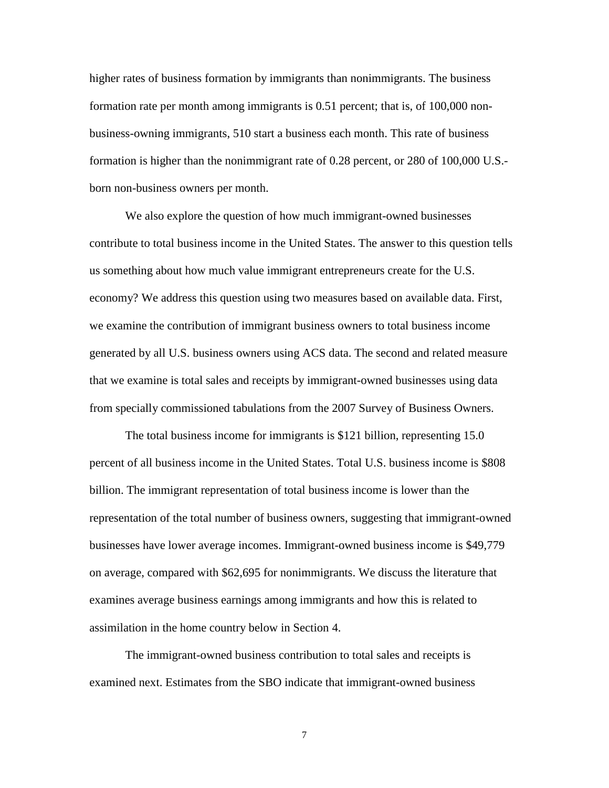higher rates of business formation by immigrants than nonimmigrants. The business formation rate per month among immigrants is 0.51 percent; that is, of 100,000 nonbusiness-owning immigrants, 510 start a business each month. This rate of business formation is higher than the nonimmigrant rate of 0.28 percent, or 280 of 100,000 U.S. born non-business owners per month.

We also explore the question of how much immigrant-owned businesses contribute to total business income in the United States. The answer to this question tells us something about how much value immigrant entrepreneurs create for the U.S. economy? We address this question using two measures based on available data. First, we examine the contribution of immigrant business owners to total business income generated by all U.S. business owners using ACS data. The second and related measure that we examine is total sales and receipts by immigrant-owned businesses using data from specially commissioned tabulations from the 2007 Survey of Business Owners.

The total business income for immigrants is \$121 billion, representing 15.0 percent of all business income in the United States. Total U.S. business income is \$808 billion. The immigrant representation of total business income is lower than the representation of the total number of business owners, suggesting that immigrant-owned businesses have lower average incomes. Immigrant-owned business income is \$49,779 on average, compared with \$62,695 for nonimmigrants. We discuss the literature that examines average business earnings among immigrants and how this is related to assimilation in the home country below in Section 4.

The immigrant-owned business contribution to total sales and receipts is examined next. Estimates from the SBO indicate that immigrant-owned business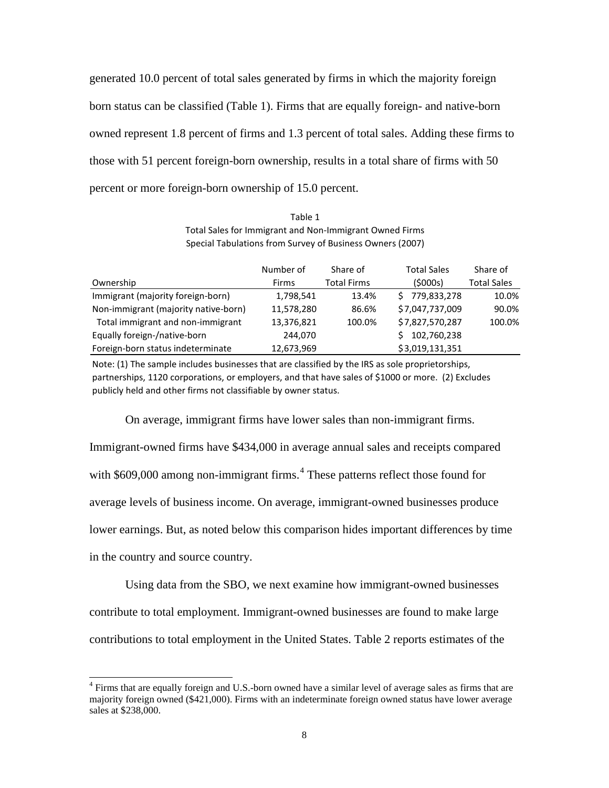generated 10.0 percent of total sales generated by firms in which the majority foreign born status can be classified (Table 1). Firms that are equally foreign- and native-born owned represent 1.8 percent of firms and 1.3 percent of total sales. Adding these firms to those with 51 percent foreign-born ownership, results in a total share of firms with 50 percent or more foreign-born ownership of 15.0 percent.

Table 1 Total Sales for Immigrant and Non-Immigrant Owned Firms Special Tabulations from Survey of Business Owners (2007)

|                                      | Number of  | Share of           | <b>Total Sales</b> | Share of           |
|--------------------------------------|------------|--------------------|--------------------|--------------------|
| Ownership                            | Firms      | <b>Total Firms</b> | (5000s)            | <b>Total Sales</b> |
| Immigrant (majority foreign-born)    | 1,798,541  | 13.4%              | \$779,833,278      | 10.0%              |
| Non-immigrant (majority native-born) | 11,578,280 | 86.6%              | \$7,047,737,009    | 90.0%              |
| Total immigrant and non-immigrant    | 13,376,821 | 100.0%             | \$7,827,570,287    | 100.0%             |
| Equally foreign-/native-born         | 244,070    |                    | 102,760,238        |                    |
| Foreign-born status indeterminate    | 12,673,969 |                    | \$3,019,131,351    |                    |

Note: (1) The sample includes businesses that are classified by the IRS as sole proprietorships, partnerships, 1120 corporations, or employers, and that have sales of \$1000 or more. (2) Excludes publicly held and other firms not classifiable by owner status.

On average, immigrant firms have lower sales than non-immigrant firms. Immigrant-owned firms have \$434,000 in average annual sales and receipts compared with \$609,000 among non-immigrant firms.<sup>[4](#page-10-0)</sup> These patterns reflect those found for average levels of business income. On average, immigrant-owned businesses produce lower earnings. But, as noted below this comparison hides important differences by time in the country and source country.

Using data from the SBO, we next examine how immigrant-owned businesses contribute to total employment. Immigrant-owned businesses are found to make large contributions to total employment in the United States. Table 2 reports estimates of the

<span id="page-10-0"></span><sup>&</sup>lt;sup>4</sup> Firms that are equally foreign and U.S.-born owned have a similar level of average sales as firms that are majority foreign owned (\$421,000). Firms with an indeterminate foreign owned status have lower average sales at \$238,000.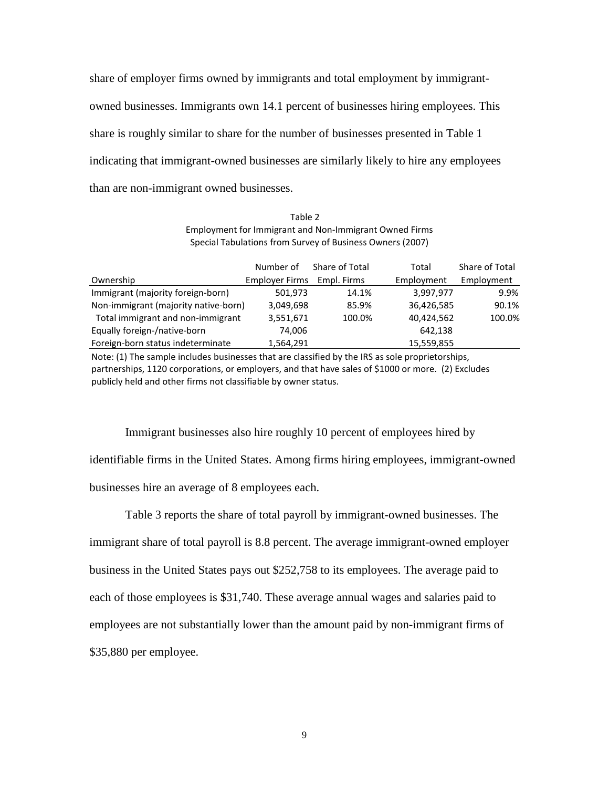share of employer firms owned by immigrants and total employment by immigrantowned businesses. Immigrants own 14.1 percent of businesses hiring employees. This share is roughly similar to share for the number of businesses presented in Table 1 indicating that immigrant-owned businesses are similarly likely to hire any employees than are non-immigrant owned businesses.

Table 2 Employment for Immigrant and Non-Immigrant Owned Firms Special Tabulations from Survey of Business Owners (2007)

|                                      | Number of             | Share of Total | Total      | Share of Total |
|--------------------------------------|-----------------------|----------------|------------|----------------|
| Ownership                            | <b>Employer Firms</b> | Empl. Firms    | Employment | Employment     |
| Immigrant (majority foreign-born)    | 501,973               | 14.1%          | 3,997,977  | 9.9%           |
| Non-immigrant (majority native-born) | 3,049,698             | 85.9%          | 36,426,585 | 90.1%          |
| Total immigrant and non-immigrant    | 3,551,671             | 100.0%         | 40,424,562 | 100.0%         |
| Equally foreign-/native-born         | 74.006                |                | 642,138    |                |
| Foreign-born status indeterminate    | 1,564,291             |                | 15,559,855 |                |

Note: (1) The sample includes businesses that are classified by the IRS as sole proprietorships, partnerships, 1120 corporations, or employers, and that have sales of \$1000 or more. (2) Excludes publicly held and other firms not classifiable by owner status.

Immigrant businesses also hire roughly 10 percent of employees hired by identifiable firms in the United States. Among firms hiring employees, immigrant-owned businesses hire an average of 8 employees each.

Table 3 reports the share of total payroll by immigrant-owned businesses. The immigrant share of total payroll is 8.8 percent. The average immigrant-owned employer business in the United States pays out \$252,758 to its employees. The average paid to each of those employees is \$31,740. These average annual wages and salaries paid to employees are not substantially lower than the amount paid by non-immigrant firms of \$35,880 per employee.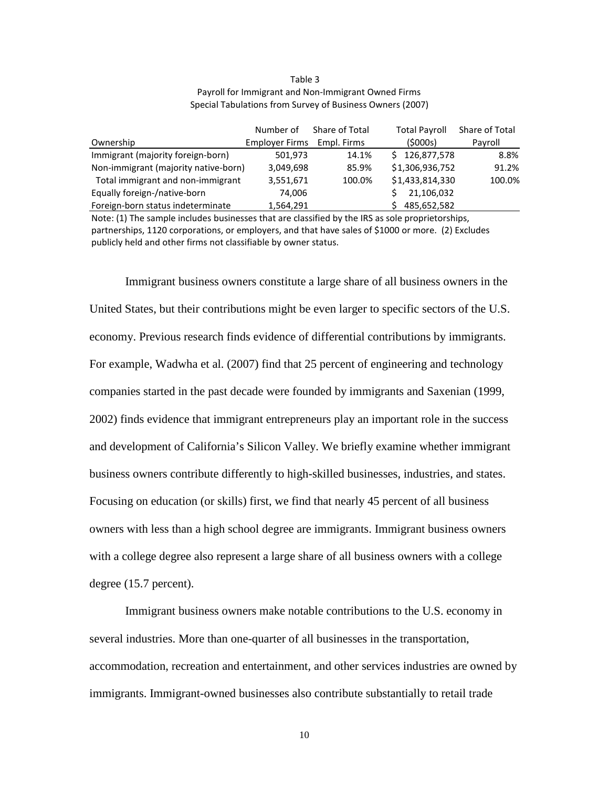#### Table 3 Payroll for Immigrant and Non-Immigrant Owned Firms Special Tabulations from Survey of Business Owners (2007)

|                                      | Number of             | Share of Total | <b>Total Payroll</b> | Share of Total |
|--------------------------------------|-----------------------|----------------|----------------------|----------------|
| Ownership                            | <b>Employer Firms</b> | Empl. Firms    | (5000s)              | Pavroll        |
| Immigrant (majority foreign-born)    | 501,973               | 14.1%          | \$126,877,578        | 8.8%           |
| Non-immigrant (majority native-born) | 3,049,698             | 85.9%          | \$1,306,936,752      | 91.2%          |
| Total immigrant and non-immigrant    | 3,551,671             | 100.0%         | \$1,433,814,330      | 100.0%         |
| Equally foreign-/native-born         | 74,006                |                | 21,106,032           |                |
| Foreign-born status indeterminate    | 1,564,291             |                | 485,652,582          |                |

Note: (1) The sample includes businesses that are classified by the IRS as sole proprietorships, partnerships, 1120 corporations, or employers, and that have sales of \$1000 or more. (2) Excludes publicly held and other firms not classifiable by owner status.

Immigrant business owners constitute a large share of all business owners in the United States, but their contributions might be even larger to specific sectors of the U.S. economy. Previous research finds evidence of differential contributions by immigrants. For example, Wadwha et al. (2007) find that 25 percent of engineering and technology companies started in the past decade were founded by immigrants and Saxenian (1999, 2002) finds evidence that immigrant entrepreneurs play an important role in the success and development of California's Silicon Valley. We briefly examine whether immigrant business owners contribute differently to high-skilled businesses, industries, and states. Focusing on education (or skills) first, we find that nearly 45 percent of all business owners with less than a high school degree are immigrants. Immigrant business owners with a college degree also represent a large share of all business owners with a college degree (15.7 percent).

Immigrant business owners make notable contributions to the U.S. economy in several industries. More than one-quarter of all businesses in the transportation, accommodation, recreation and entertainment, and other services industries are owned by immigrants. Immigrant-owned businesses also contribute substantially to retail trade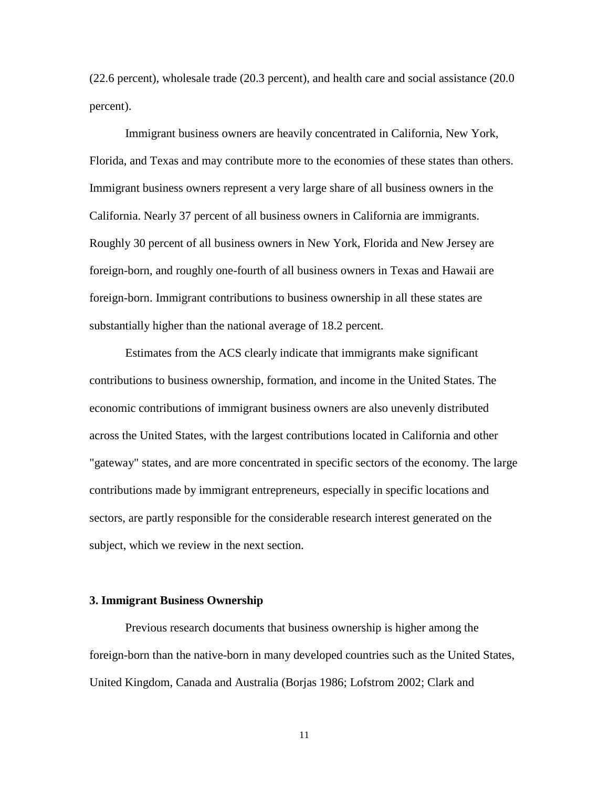(22.6 percent), wholesale trade (20.3 percent), and health care and social assistance (20.0 percent).

Immigrant business owners are heavily concentrated in California, New York, Florida, and Texas and may contribute more to the economies of these states than others. Immigrant business owners represent a very large share of all business owners in the California. Nearly 37 percent of all business owners in California are immigrants. Roughly 30 percent of all business owners in New York, Florida and New Jersey are foreign-born, and roughly one-fourth of all business owners in Texas and Hawaii are foreign-born. Immigrant contributions to business ownership in all these states are substantially higher than the national average of 18.2 percent.

Estimates from the ACS clearly indicate that immigrants make significant contributions to business ownership, formation, and income in the United States. The economic contributions of immigrant business owners are also unevenly distributed across the United States, with the largest contributions located in California and other "gateway" states, and are more concentrated in specific sectors of the economy. The large contributions made by immigrant entrepreneurs, especially in specific locations and sectors, are partly responsible for the considerable research interest generated on the subject, which we review in the next section.

#### **3. Immigrant Business Ownership**

Previous research documents that business ownership is higher among the foreign-born than the native-born in many developed countries such as the United States, United Kingdom, Canada and Australia (Borjas 1986; Lofstrom 2002; Clark and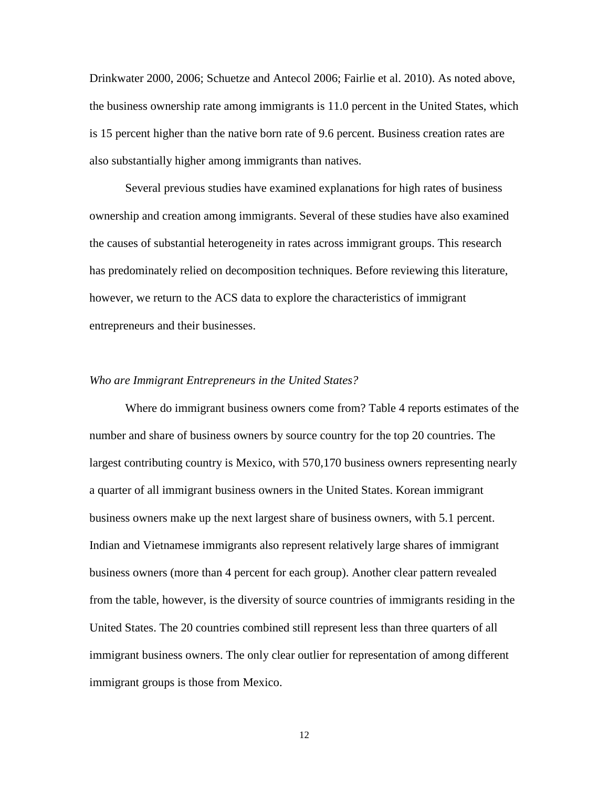Drinkwater 2000, 2006; Schuetze and Antecol 2006; Fairlie et al. 2010). As noted above, the business ownership rate among immigrants is 11.0 percent in the United States, which is 15 percent higher than the native born rate of 9.6 percent. Business creation rates are also substantially higher among immigrants than natives.

Several previous studies have examined explanations for high rates of business ownership and creation among immigrants. Several of these studies have also examined the causes of substantial heterogeneity in rates across immigrant groups. This research has predominately relied on decomposition techniques. Before reviewing this literature, however, we return to the ACS data to explore the characteristics of immigrant entrepreneurs and their businesses.

#### *Who are Immigrant Entrepreneurs in the United States?*

Where do immigrant business owners come from? Table 4 reports estimates of the number and share of business owners by source country for the top 20 countries. The largest contributing country is Mexico, with 570,170 business owners representing nearly a quarter of all immigrant business owners in the United States. Korean immigrant business owners make up the next largest share of business owners, with 5.1 percent. Indian and Vietnamese immigrants also represent relatively large shares of immigrant business owners (more than 4 percent for each group). Another clear pattern revealed from the table, however, is the diversity of source countries of immigrants residing in the United States. The 20 countries combined still represent less than three quarters of all immigrant business owners. The only clear outlier for representation of among different immigrant groups is those from Mexico.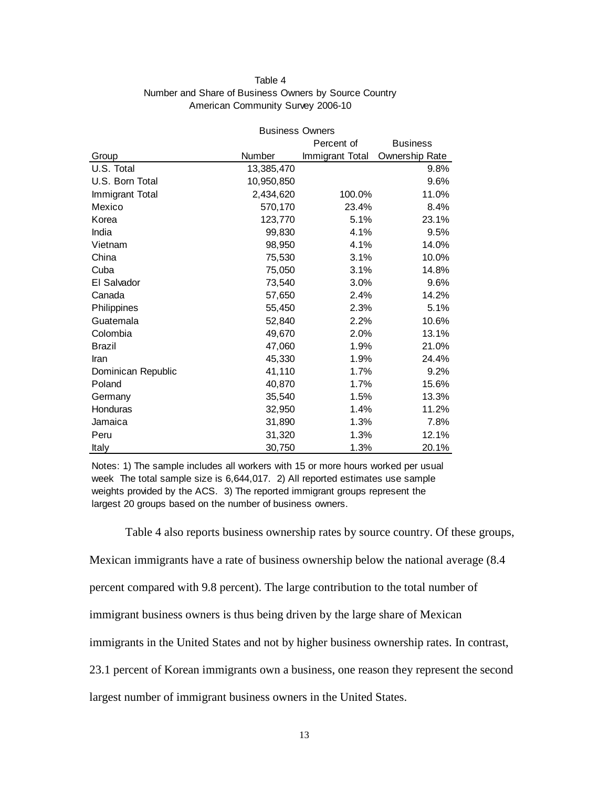#### Table 4 Number and Share of Business Owners by Source Country American Community Survey 2006-10

|                    | <b>Business Owners</b> |                 |                 |
|--------------------|------------------------|-----------------|-----------------|
|                    |                        | Percent of      | <b>Business</b> |
| Group              | Number                 | Immigrant Total | Ownership Rate  |
| U.S. Total         | 13,385,470             |                 | 9.8%            |
| U.S. Born Total    | 10,950,850             |                 | 9.6%            |
| Immigrant Total    | 2,434,620              | 100.0%          | 11.0%           |
| Mexico             | 570,170                | 23.4%           | 8.4%            |
| Korea              | 123,770                | 5.1%            | 23.1%           |
| India              | 99,830                 | 4.1%            | 9.5%            |
| Vietnam            | 98,950                 | 4.1%            | 14.0%           |
| China              | 75,530                 | 3.1%            | 10.0%           |
| Cuba               | 75,050                 | 3.1%            | 14.8%           |
| El Salvador        | 73,540                 | 3.0%            | 9.6%            |
| Canada             | 57,650                 | 2.4%            | 14.2%           |
| Philippines        | 55,450                 | 2.3%            | 5.1%            |
| Guatemala          | 52,840                 | 2.2%            | 10.6%           |
| Colombia           | 49,670                 | 2.0%            | 13.1%           |
| <b>Brazil</b>      | 47,060                 | 1.9%            | 21.0%           |
| Iran               | 45,330                 | 1.9%            | 24.4%           |
| Dominican Republic | 41,110                 | 1.7%            | 9.2%            |
| Poland             | 40,870                 | 1.7%            | 15.6%           |
| Germany            | 35,540                 | 1.5%            | 13.3%           |
| Honduras           | 32,950                 | 1.4%            | 11.2%           |
| Jamaica            | 31,890                 | 1.3%            | 7.8%            |
| Peru               | 31,320                 | 1.3%            | 12.1%           |
| Italy              | 30,750                 | 1.3%            | 20.1%           |

Notes: 1) The sample includes all workers with 15 or more hours worked per usual week The total sample size is 6,644,017. 2) All reported estimates use sample weights provided by the ACS. 3) The reported immigrant groups represent the largest 20 groups based on the number of business owners.

Table 4 also reports business ownership rates by source country. Of these groups,

Mexican immigrants have a rate of business ownership below the national average (8.4

percent compared with 9.8 percent). The large contribution to the total number of

immigrant business owners is thus being driven by the large share of Mexican

immigrants in the United States and not by higher business ownership rates. In contrast,

23.1 percent of Korean immigrants own a business, one reason they represent the second

largest number of immigrant business owners in the United States.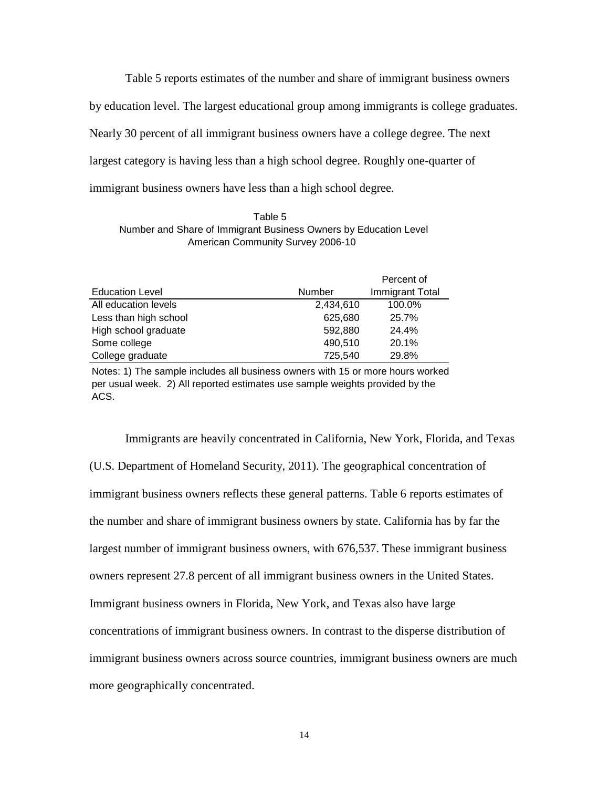Table 5 reports estimates of the number and share of immigrant business owners by education level. The largest educational group among immigrants is college graduates. Nearly 30 percent of all immigrant business owners have a college degree. The next largest category is having less than a high school degree. Roughly one-quarter of immigrant business owners have less than a high school degree.

Table 5 Number and Share of Immigrant Business Owners by Education Level American Community Survey 2006-10

|                        |               | Percent of      |
|------------------------|---------------|-----------------|
| <b>Education Level</b> | <b>Number</b> | Immigrant Total |
| All education levels   | 2,434,610     | 100.0%          |
| Less than high school  | 625,680       | 25.7%           |
| High school graduate   | 592.880       | 24.4%           |
| Some college           | 490,510       | 20.1%           |
| College graduate       | 725,540       | 29.8%           |

Notes: 1) The sample includes all business owners with 15 or more hours worked per usual week. 2) All reported estimates use sample weights provided by the ACS.

Immigrants are heavily concentrated in California, New York, Florida, and Texas (U.S. Department of Homeland Security, 2011). The geographical concentration of immigrant business owners reflects these general patterns. Table 6 reports estimates of the number and share of immigrant business owners by state. California has by far the largest number of immigrant business owners, with 676,537. These immigrant business owners represent 27.8 percent of all immigrant business owners in the United States. Immigrant business owners in Florida, New York, and Texas also have large concentrations of immigrant business owners. In contrast to the disperse distribution of immigrant business owners across source countries, immigrant business owners are much more geographically concentrated.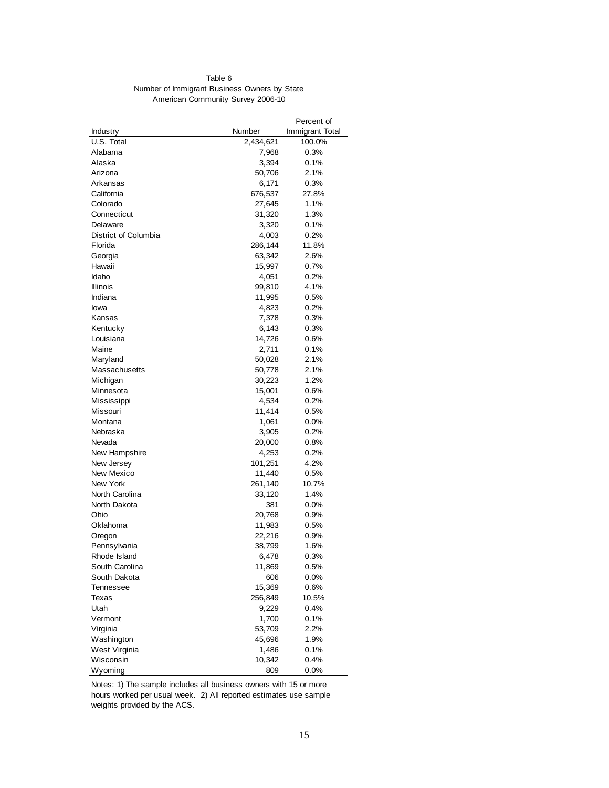#### Table 6 Number of Immigrant Business Owners by State American Community Survey 2006-10

|                      |           | Percent of      |
|----------------------|-----------|-----------------|
| Industry             | Number    | Immigrant Total |
| U.S. Total           | 2,434,621 | 100.0%          |
| Alabama              | 7,968     | 0.3%            |
| Alaska               | 3,394     | $0.1\%$         |
| Arizona              | 50,706    | 2.1%            |
| Arkansas             | 6,171     | 0.3%            |
| California           | 676,537   | 27.8%           |
| Colorado             | 27,645    | 1.1%            |
| Connecticut          | 31,320    | 1.3%            |
| Delaware             | 3,320     | 0.1%            |
| District of Columbia | 4,003     | 0.2%            |
| Florida              | 286,144   | 11.8%           |
| Georgia              | 63,342    | 2.6%            |
| Hawaii               | 15,997    | 0.7%            |
| Idaho                | 4,051     | 0.2%            |
| <b>Illinois</b>      | 99,810    | 4.1%            |
| Indiana              | 11,995    | 0.5%            |
| lowa                 | 4,823     | 0.2%            |
| Kansas               | 7,378     | 0.3%            |
| Kentucky             | 6,143     | 0.3%            |
| Louisiana            | 14,726    | 0.6%            |
| Maine                | 2,711     | 0.1%            |
| Maryland             | 50,028    | 2.1%            |
| Massachusetts        | 50,778    | 2.1%            |
| Michigan             | 30,223    | 1.2%            |
| Minnesota            | 15,001    | $0.6\%$         |
| Mississippi          | 4,534     | 0.2%            |
| Missouri             | 11,414    | 0.5%            |
| Montana              | 1,061     | $0.0\%$         |
| Nebraska             | 3,905     | 0.2%            |
| Nevada               | 20,000    | 0.8%            |
| New Hampshire        | 4,253     | 0.2%            |
| New Jersey           | 101,251   | 4.2%            |
| New Mexico           | 11,440    | 0.5%            |
| New York             | 261,140   | 10.7%           |
| North Carolina       | 33,120    | 1.4%            |
| North Dakota         | 381       | 0.0%            |
| Ohio                 | 20,768    | $0.9\%$         |
| Oklahoma             | 11,983    | 0.5%            |
| Oregon               | 22,216    | $0.9\%$         |
| Pennsylvania         | 38,799    | 1.6%            |
| Rhode Island         | 6,478     | 0.3%            |
| South Carolina       | 11,869    | 0.5%            |
| South Dakota         | 606       | $0.0\%$         |
| Tennessee            | 15,369    | 0.6%            |
| Texas                | 256,849   | 10.5%           |
| Utah                 | 9,229     | 0.4%            |
| Vermont              | 1,700     | 0.1%            |
| Virginia             | 53,709    | 2.2%            |
| Washington           | 45,696    | 1.9%            |
| West Virginia        | 1,486     | 0.1%            |
| Wisconsin            | 10,342    | 0.4%            |
| Wyoming              | 809       | 0.0%            |
|                      |           |                 |

Notes: 1) The sample includes all business owners with 15 or more hours worked per usual week. 2) All reported estimates use sample weights provided by the ACS.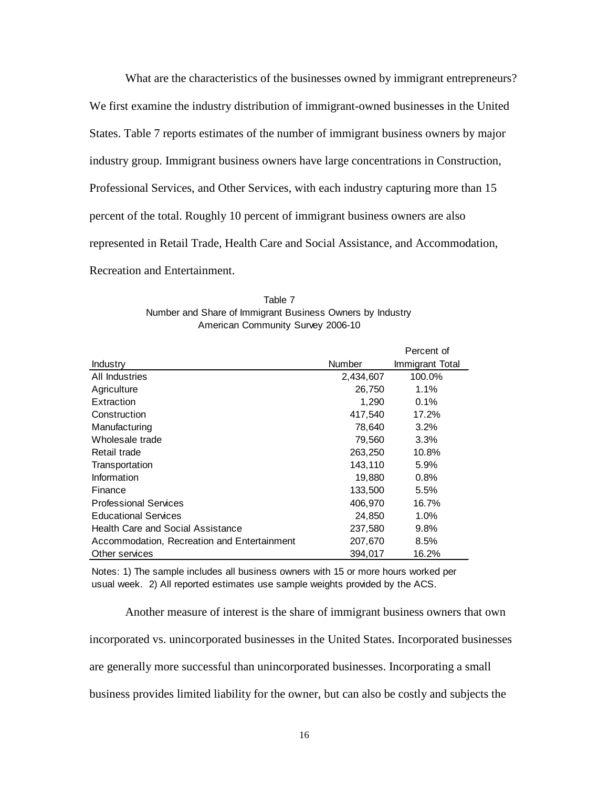What are the characteristics of the businesses owned by immigrant entrepreneurs? We first examine the industry distribution of immigrant-owned businesses in the United States. Table 7 reports estimates of the number of immigrant business owners by major industry group. Immigrant business owners have large concentrations in Construction, Professional Services, and Other Services, with each industry capturing more than 15 percent of the total. Roughly 10 percent of immigrant business owners are also represented in Retail Trade, Health Care and Social Assistance, and Accommodation, Recreation and Entertainment.

| Table 7                                                   |
|-----------------------------------------------------------|
| Number and Share of Immigrant Business Owners by Industry |
| American Community Survey 2006-10                         |

|                                             |           | Percent of      |
|---------------------------------------------|-----------|-----------------|
| Industry                                    | Number    | Immigrant Total |
| All Industries                              | 2,434,607 | 100.0%          |
| Agriculture                                 | 26,750    | 1.1%            |
| Extraction                                  | 1,290     | 0.1%            |
| Construction                                | 417,540   | 17.2%           |
| Manufacturing                               | 78,640    | 3.2%            |
| Wholesale trade                             | 79,560    | 3.3%            |
| Retail trade                                | 263,250   | 10.8%           |
| Transportation                              | 143,110   | 5.9%            |
| Information                                 | 19,880    | 0.8%            |
| Finance                                     | 133,500   | 5.5%            |
| <b>Professional Services</b>                | 406.970   | 16.7%           |
| <b>Educational Services</b>                 | 24,850    | $1.0\%$         |
| Health Care and Social Assistance           | 237,580   | 9.8%            |
| Accommodation, Recreation and Entertainment | 207,670   | 8.5%            |
| Other services                              | 394,017   | 16.2%           |

Notes: 1) The sample includes all business owners with 15 or more hours worked per usual week. 2) All reported estimates use sample weights provided by the ACS.

Another measure of interest is the share of immigrant business owners that own incorporated vs. unincorporated businesses in the United States. Incorporated businesses are generally more successful than unincorporated businesses. Incorporating a small business provides limited liability for the owner, but can also be costly and subjects the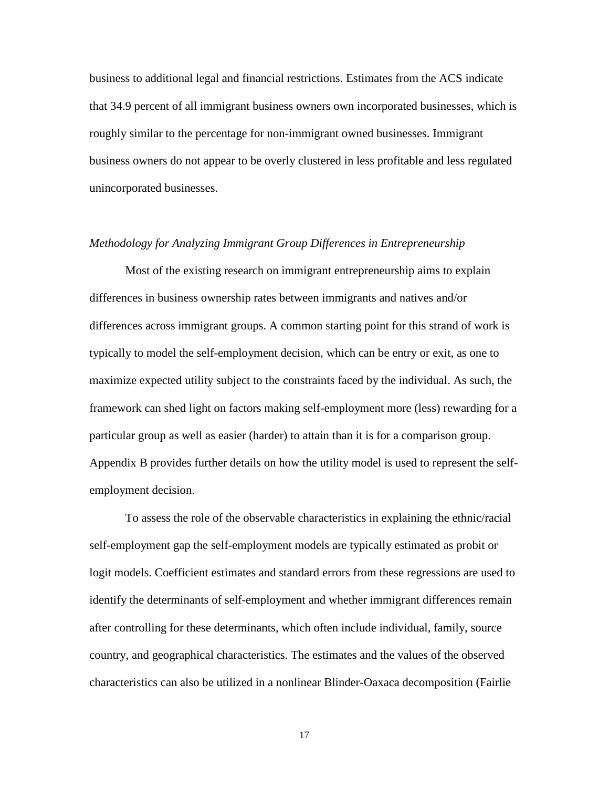business to additional legal and financial restrictions. Estimates from the ACS indicate that 34.9 percent of all immigrant business owners own incorporated businesses, which is roughly similar to the percentage for non-immigrant owned businesses. Immigrant business owners do not appear to be overly clustered in less profitable and less regulated unincorporated businesses.

#### *Methodology for Analyzing Immigrant Group Differences in Entrepreneurship*

Most of the existing research on immigrant entrepreneurship aims to explain differences in business ownership rates between immigrants and natives and/or differences across immigrant groups. A common starting point for this strand of work is typically to model the self-employment decision, which can be entry or exit, as one to maximize expected utility subject to the constraints faced by the individual. As such, the framework can shed light on factors making self-employment more (less) rewarding for a particular group as well as easier (harder) to attain than it is for a comparison group. Appendix B provides further details on how the utility model is used to represent the selfemployment decision.

To assess the role of the observable characteristics in explaining the ethnic/racial self-employment gap the self-employment models are typically estimated as probit or logit models. Coefficient estimates and standard errors from these regressions are used to identify the determinants of self-employment and whether immigrant differences remain after controlling for these determinants, which often include individual, family, source country, and geographical characteristics. The estimates and the values of the observed characteristics can also be utilized in a nonlinear Blinder-Oaxaca decomposition (Fairlie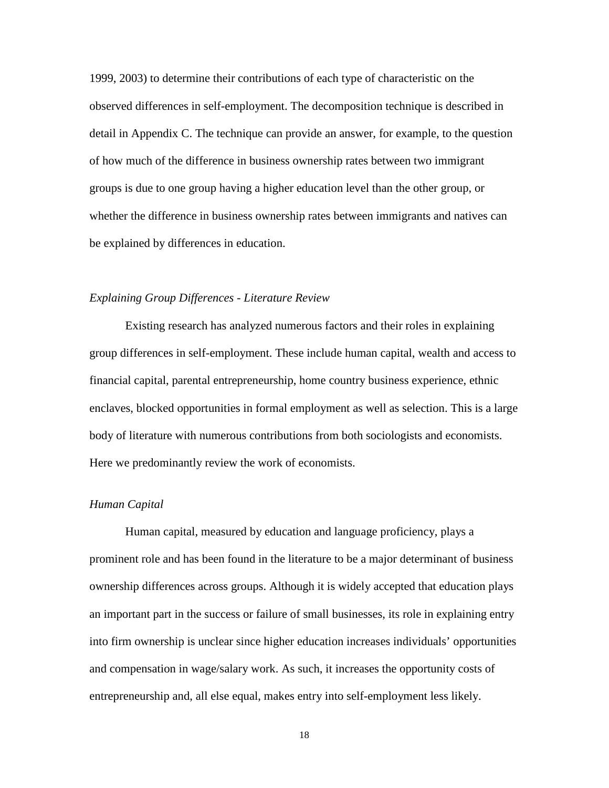1999, 2003) to determine their contributions of each type of characteristic on the observed differences in self-employment. The decomposition technique is described in detail in Appendix C. The technique can provide an answer, for example, to the question of how much of the difference in business ownership rates between two immigrant groups is due to one group having a higher education level than the other group, or whether the difference in business ownership rates between immigrants and natives can be explained by differences in education.

#### *Explaining Group Differences - Literature Review*

Existing research has analyzed numerous factors and their roles in explaining group differences in self-employment. These include human capital, wealth and access to financial capital, parental entrepreneurship, home country business experience, ethnic enclaves, blocked opportunities in formal employment as well as selection. This is a large body of literature with numerous contributions from both sociologists and economists. Here we predominantly review the work of economists.

#### *Human Capital*

Human capital, measured by education and language proficiency, plays a prominent role and has been found in the literature to be a major determinant of business ownership differences across groups. Although it is widely accepted that education plays an important part in the success or failure of small businesses, its role in explaining entry into firm ownership is unclear since higher education increases individuals' opportunities and compensation in wage/salary work. As such, it increases the opportunity costs of entrepreneurship and, all else equal, makes entry into self-employment less likely.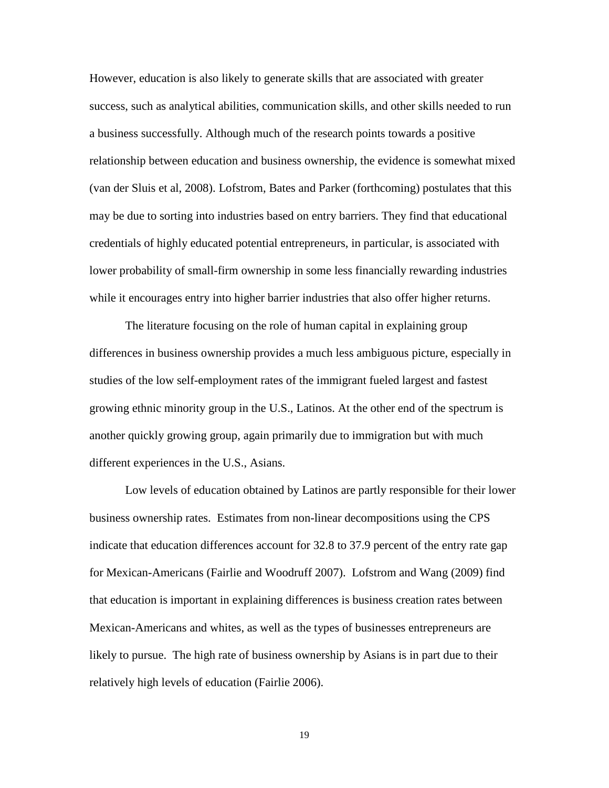However, education is also likely to generate skills that are associated with greater success, such as analytical abilities, communication skills, and other skills needed to run a business successfully. Although much of the research points towards a positive relationship between education and business ownership, the evidence is somewhat mixed (van der Sluis et al, 2008). Lofstrom, Bates and Parker (forthcoming) postulates that this may be due to sorting into industries based on entry barriers. They find that educational credentials of highly educated potential entrepreneurs, in particular, is associated with lower probability of small-firm ownership in some less financially rewarding industries while it encourages entry into higher barrier industries that also offer higher returns.

The literature focusing on the role of human capital in explaining group differences in business ownership provides a much less ambiguous picture, especially in studies of the low self-employment rates of the immigrant fueled largest and fastest growing ethnic minority group in the U.S., Latinos. At the other end of the spectrum is another quickly growing group, again primarily due to immigration but with much different experiences in the U.S., Asians.

 Low levels of education obtained by Latinos are partly responsible for their lower business ownership rates. Estimates from non-linear decompositions using the CPS indicate that education differences account for 32.8 to 37.9 percent of the entry rate gap for Mexican-Americans (Fairlie and Woodruff 2007). Lofstrom and Wang (2009) find that education is important in explaining differences is business creation rates between Mexican-Americans and whites, as well as the types of businesses entrepreneurs are likely to pursue. The high rate of business ownership by Asians is in part due to their relatively high levels of education (Fairlie 2006).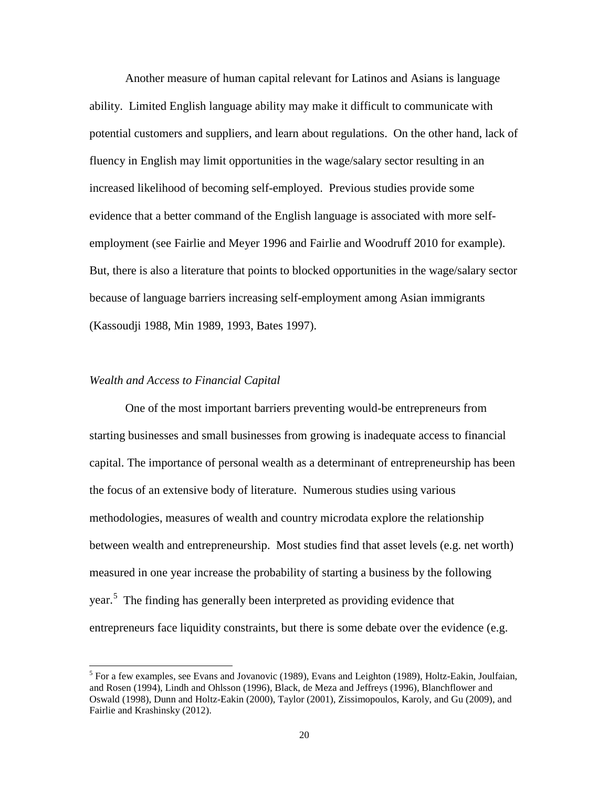Another measure of human capital relevant for Latinos and Asians is language ability. Limited English language ability may make it difficult to communicate with potential customers and suppliers, and learn about regulations. On the other hand, lack of fluency in English may limit opportunities in the wage/salary sector resulting in an increased likelihood of becoming self-employed. Previous studies provide some evidence that a better command of the English language is associated with more selfemployment (see Fairlie and Meyer 1996 and Fairlie and Woodruff 2010 for example). But, there is also a literature that points to blocked opportunities in the wage/salary sector because of language barriers increasing self-employment among Asian immigrants (Kassoudji 1988, Min 1989, 1993, Bates 1997).

#### *Wealth and Access to Financial Capital*

One of the most important barriers preventing would-be entrepreneurs from starting businesses and small businesses from growing is inadequate access to financial capital. The importance of personal wealth as a determinant of entrepreneurship has been the focus of an extensive body of literature. Numerous studies using various methodologies, measures of wealth and country microdata explore the relationship between wealth and entrepreneurship. Most studies find that asset levels (e.g. net worth) measured in one year increase the probability of starting a business by the following year.<sup>[5](#page-22-0)</sup> The finding has generally been interpreted as providing evidence that entrepreneurs face liquidity constraints, but there is some debate over the evidence (e.g.

<span id="page-22-0"></span> $<sup>5</sup>$  For a few examples, see Evans and Jovanovic (1989), Evans and Leighton (1989), Holtz-Eakin, Joulfaian,</sup> and Rosen (1994), Lindh and Ohlsson (1996), Black, de Meza and Jeffreys (1996), Blanchflower and Oswald (1998), Dunn and Holtz-Eakin (2000), Taylor (2001), Zissimopoulos, Karoly, and Gu (2009), and Fairlie and Krashinsky (2012).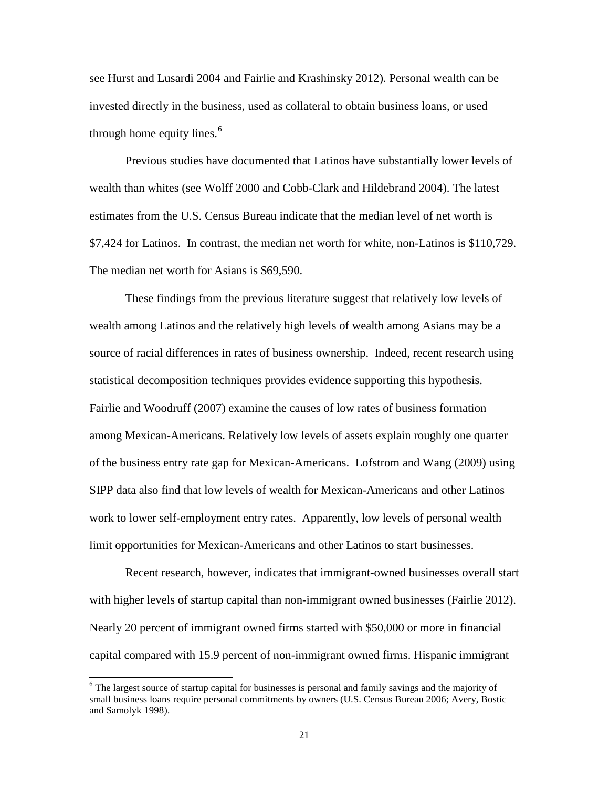see Hurst and Lusardi 2004 and Fairlie and Krashinsky 2012). Personal wealth can be invested directly in the business, used as collateral to obtain business loans, or used through home equity lines.<sup>[6](#page-23-0)</sup>

Previous studies have documented that Latinos have substantially lower levels of wealth than whites (see Wolff 2000 and Cobb-Clark and Hildebrand 2004). The latest estimates from the U.S. Census Bureau indicate that the median level of net worth is \$7,424 for Latinos. In contrast, the median net worth for white, non-Latinos is \$110,729. The median net worth for Asians is \$69,590.

These findings from the previous literature suggest that relatively low levels of wealth among Latinos and the relatively high levels of wealth among Asians may be a source of racial differences in rates of business ownership. Indeed, recent research using statistical decomposition techniques provides evidence supporting this hypothesis. Fairlie and Woodruff (2007) examine the causes of low rates of business formation among Mexican-Americans. Relatively low levels of assets explain roughly one quarter of the business entry rate gap for Mexican-Americans. Lofstrom and Wang (2009) using SIPP data also find that low levels of wealth for Mexican-Americans and other Latinos work to lower self-employment entry rates. Apparently, low levels of personal wealth limit opportunities for Mexican-Americans and other Latinos to start businesses.

Recent research, however, indicates that immigrant-owned businesses overall start with higher levels of startup capital than non-immigrant owned businesses (Fairlie 2012). Nearly 20 percent of immigrant owned firms started with \$50,000 or more in financial capital compared with 15.9 percent of non-immigrant owned firms. Hispanic immigrant

<span id="page-23-0"></span><sup>&</sup>lt;sup>6</sup> The largest source of startup capital for businesses is personal and family savings and the majority of small business loans require personal commitments by owners (U.S. Census Bureau 2006; Avery, Bostic and Samolyk 1998).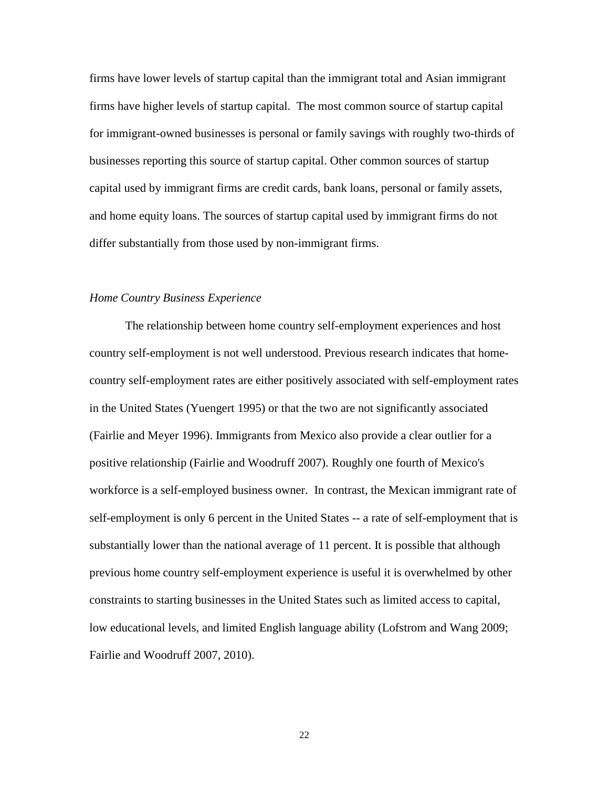firms have lower levels of startup capital than the immigrant total and Asian immigrant firms have higher levels of startup capital. The most common source of startup capital for immigrant-owned businesses is personal or family savings with roughly two-thirds of businesses reporting this source of startup capital. Other common sources of startup capital used by immigrant firms are credit cards, bank loans, personal or family assets, and home equity loans. The sources of startup capital used by immigrant firms do not differ substantially from those used by non-immigrant firms.

#### *Home Country Business Experience*

The relationship between home country self-employment experiences and host country self-employment is not well understood. Previous research indicates that homecountry self-employment rates are either positively associated with self-employment rates in the United States (Yuengert 1995) or that the two are not significantly associated (Fairlie and Meyer 1996). Immigrants from Mexico also provide a clear outlier for a positive relationship (Fairlie and Woodruff 2007). Roughly one fourth of Mexico's workforce is a self-employed business owner. In contrast, the Mexican immigrant rate of self-employment is only 6 percent in the United States -- a rate of self-employment that is substantially lower than the national average of 11 percent. It is possible that although previous home country self-employment experience is useful it is overwhelmed by other constraints to starting businesses in the United States such as limited access to capital, low educational levels, and limited English language ability (Lofstrom and Wang 2009; Fairlie and Woodruff 2007, 2010).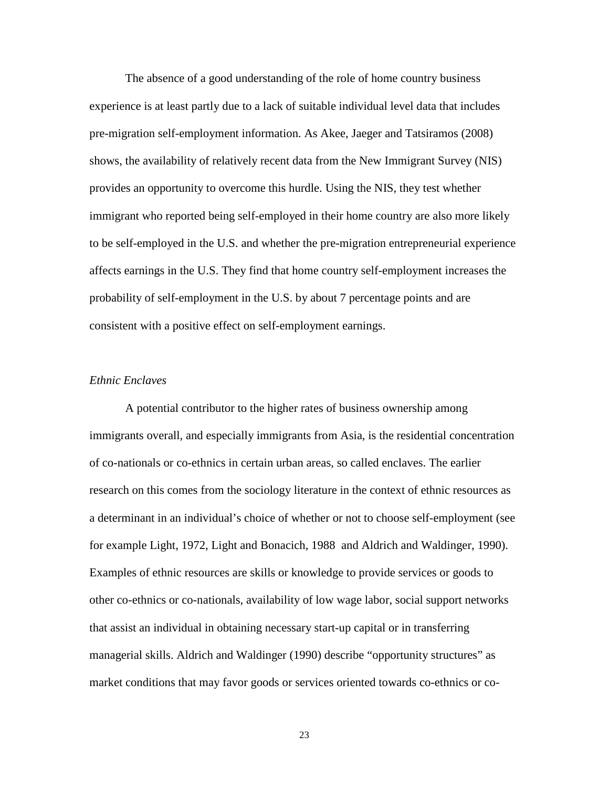The absence of a good understanding of the role of home country business experience is at least partly due to a lack of suitable individual level data that includes pre-migration self-employment information. As Akee, Jaeger and Tatsiramos (2008) shows, the availability of relatively recent data from the New Immigrant Survey (NIS) provides an opportunity to overcome this hurdle. Using the NIS, they test whether immigrant who reported being self-employed in their home country are also more likely to be self-employed in the U.S. and whether the pre-migration entrepreneurial experience affects earnings in the U.S. They find that home country self-employment increases the probability of self-employment in the U.S. by about 7 percentage points and are consistent with a positive effect on self-employment earnings.

#### *Ethnic Enclaves*

A potential contributor to the higher rates of business ownership among immigrants overall, and especially immigrants from Asia, is the residential concentration of co-nationals or co-ethnics in certain urban areas, so called enclaves. The earlier research on this comes from the sociology literature in the context of ethnic resources as a determinant in an individual's choice of whether or not to choose self-employment (see for example Light, 1972, Light and Bonacich, 1988 and Aldrich and Waldinger, 1990). Examples of ethnic resources are skills or knowledge to provide services or goods to other co-ethnics or co-nationals, availability of low wage labor, social support networks that assist an individual in obtaining necessary start-up capital or in transferring managerial skills. Aldrich and Waldinger (1990) describe "opportunity structures" as market conditions that may favor goods or services oriented towards co-ethnics or co-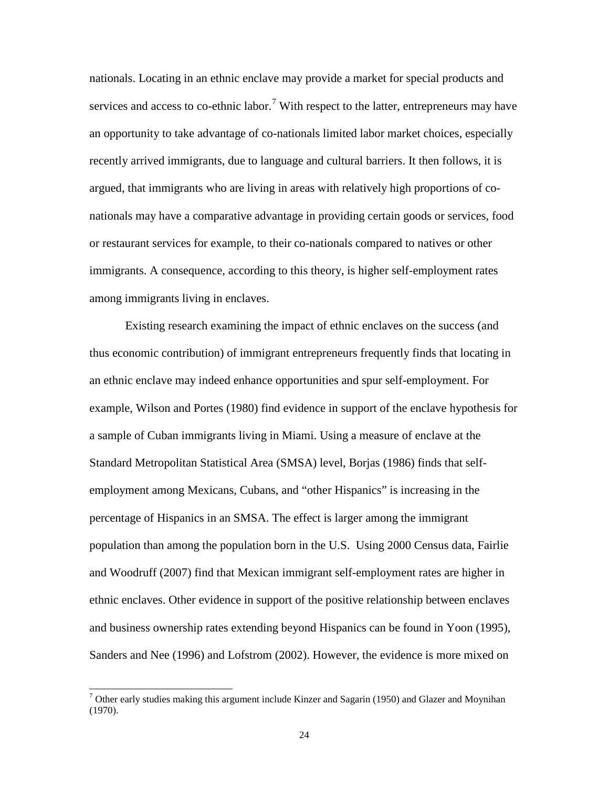nationals. Locating in an ethnic enclave may provide a market for special products and services and access to co-ethnic labor.<sup>[7](#page-26-0)</sup> With respect to the latter, entrepreneurs may have an opportunity to take advantage of co-nationals limited labor market choices, especially recently arrived immigrants, due to language and cultural barriers. It then follows, it is argued, that immigrants who are living in areas with relatively high proportions of conationals may have a comparative advantage in providing certain goods or services, food or restaurant services for example, to their co-nationals compared to natives or other immigrants. A consequence, according to this theory, is higher self-employment rates among immigrants living in enclaves.

Existing research examining the impact of ethnic enclaves on the success (and thus economic contribution) of immigrant entrepreneurs frequently finds that locating in an ethnic enclave may indeed enhance opportunities and spur self-employment. For example, Wilson and Portes (1980) find evidence in support of the enclave hypothesis for a sample of Cuban immigrants living in Miami. Using a measure of enclave at the Standard Metropolitan Statistical Area (SMSA) level, Borjas (1986) finds that selfemployment among Mexicans, Cubans, and "other Hispanics" is increasing in the percentage of Hispanics in an SMSA. The effect is larger among the immigrant population than among the population born in the U.S. Using 2000 Census data, Fairlie and Woodruff (2007) find that Mexican immigrant self-employment rates are higher in ethnic enclaves. Other evidence in support of the positive relationship between enclaves and business ownership rates extending beyond Hispanics can be found in Yoon (1995), Sanders and Nee (1996) and Lofstrom (2002). However, the evidence is more mixed on

<span id="page-26-0"></span> $7$  Other early studies making this argument include Kinzer and Sagarin (1950) and Glazer and Moynihan (1970).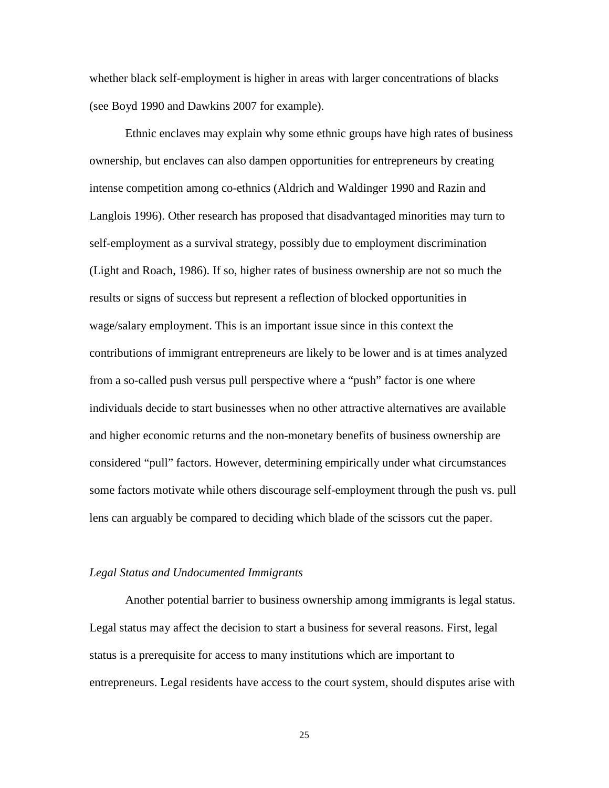whether black self-employment is higher in areas with larger concentrations of blacks (see Boyd 1990 and Dawkins 2007 for example).

Ethnic enclaves may explain why some ethnic groups have high rates of business ownership, but enclaves can also dampen opportunities for entrepreneurs by creating intense competition among co-ethnics (Aldrich and Waldinger 1990 and Razin and Langlois 1996). Other research has proposed that disadvantaged minorities may turn to self-employment as a survival strategy, possibly due to employment discrimination (Light and Roach, 1986). If so, higher rates of business ownership are not so much the results or signs of success but represent a reflection of blocked opportunities in wage/salary employment. This is an important issue since in this context the contributions of immigrant entrepreneurs are likely to be lower and is at times analyzed from a so-called push versus pull perspective where a "push" factor is one where individuals decide to start businesses when no other attractive alternatives are available and higher economic returns and the non-monetary benefits of business ownership are considered "pull" factors. However, determining empirically under what circumstances some factors motivate while others discourage self-employment through the push vs. pull lens can arguably be compared to deciding which blade of the scissors cut the paper.

#### *Legal Status and Undocumented Immigrants*

Another potential barrier to business ownership among immigrants is legal status. Legal status may affect the decision to start a business for several reasons. First, legal status is a prerequisite for access to many institutions which are important to entrepreneurs. Legal residents have access to the court system, should disputes arise with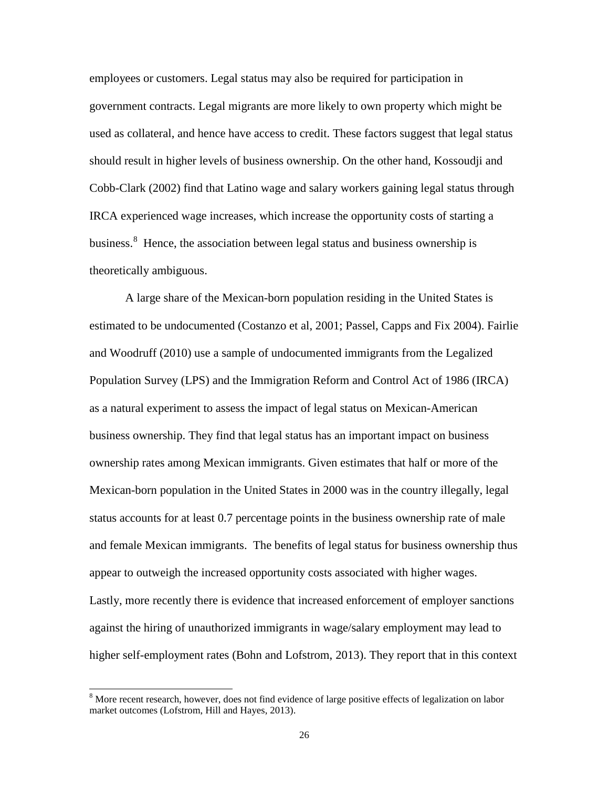employees or customers. Legal status may also be required for participation in government contracts. Legal migrants are more likely to own property which might be used as collateral, and hence have access to credit. These factors suggest that legal status should result in higher levels of business ownership. On the other hand, Kossoudji and Cobb-Clark (2002) find that Latino wage and salary workers gaining legal status through IRCA experienced wage increases, which increase the opportunity costs of starting a business.<sup>[8](#page-26-0)</sup> Hence, the association between legal status and business ownership is theoretically ambiguous.

A large share of the Mexican-born population residing in the United States is estimated to be undocumented (Costanzo et al, 2001; Passel, Capps and Fix 2004). Fairlie and Woodruff (2010) use a sample of undocumented immigrants from the Legalized Population Survey (LPS) and the Immigration Reform and Control Act of 1986 (IRCA) as a natural experiment to assess the impact of legal status on Mexican-American business ownership. They find that legal status has an important impact on business ownership rates among Mexican immigrants. Given estimates that half or more of the Mexican-born population in the United States in 2000 was in the country illegally, legal status accounts for at least 0.7 percentage points in the business ownership rate of male and female Mexican immigrants. The benefits of legal status for business ownership thus appear to outweigh the increased opportunity costs associated with higher wages. Lastly, more recently there is evidence that increased enforcement of employer sanctions against the hiring of unauthorized immigrants in wage/salary employment may lead to higher self-employment rates (Bohn and Lofstrom, 2013). They report that in this context

<sup>&</sup>lt;sup>8</sup> More recent research, however, does not find evidence of large positive effects of legalization on labor market outcomes (Lofstrom, Hill and Hayes, 2013).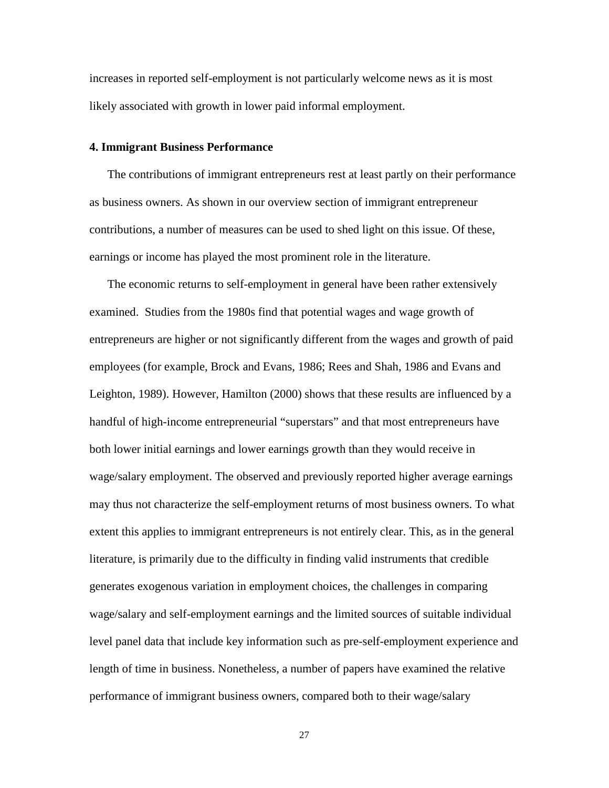increases in reported self-employment is not particularly welcome news as it is most likely associated with growth in lower paid informal employment.

#### **4. Immigrant Business Performance**

The contributions of immigrant entrepreneurs rest at least partly on their performance as business owners. As shown in our overview section of immigrant entrepreneur contributions, a number of measures can be used to shed light on this issue. Of these, earnings or income has played the most prominent role in the literature.

The economic returns to self-employment in general have been rather extensively examined. Studies from the 1980s find that potential wages and wage growth of entrepreneurs are higher or not significantly different from the wages and growth of paid employees (for example, Brock and Evans, 1986; Rees and Shah, 1986 and Evans and Leighton, 1989). However, Hamilton (2000) shows that these results are influenced by a handful of high-income entrepreneurial "superstars" and that most entrepreneurs have both lower initial earnings and lower earnings growth than they would receive in wage/salary employment. The observed and previously reported higher average earnings may thus not characterize the self-employment returns of most business owners. To what extent this applies to immigrant entrepreneurs is not entirely clear. This, as in the general literature, is primarily due to the difficulty in finding valid instruments that credible generates exogenous variation in employment choices, the challenges in comparing wage/salary and self-employment earnings and the limited sources of suitable individual level panel data that include key information such as pre-self-employment experience and length of time in business. Nonetheless, a number of papers have examined the relative performance of immigrant business owners, compared both to their wage/salary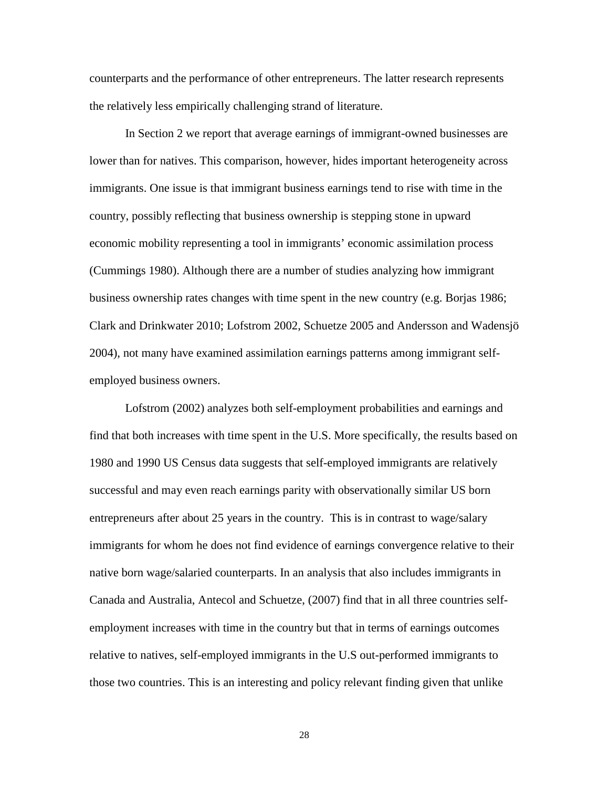counterparts and the performance of other entrepreneurs. The latter research represents the relatively less empirically challenging strand of literature.

In Section 2 we report that average earnings of immigrant-owned businesses are lower than for natives. This comparison, however, hides important heterogeneity across immigrants. One issue is that immigrant business earnings tend to rise with time in the country, possibly reflecting that business ownership is stepping stone in upward economic mobility representing a tool in immigrants' economic assimilation process (Cummings 1980). Although there are a number of studies analyzing how immigrant business ownership rates changes with time spent in the new country (e.g. Borjas 1986; Clark and Drinkwater 2010; Lofstrom 2002, Schuetze 2005 and Andersson and Wadensjö 2004), not many have examined assimilation earnings patterns among immigrant selfemployed business owners.

Lofstrom (2002) analyzes both self-employment probabilities and earnings and find that both increases with time spent in the U.S. More specifically, the results based on 1980 and 1990 US Census data suggests that self-employed immigrants are relatively successful and may even reach earnings parity with observationally similar US born entrepreneurs after about 25 years in the country. This is in contrast to wage/salary immigrants for whom he does not find evidence of earnings convergence relative to their native born wage/salaried counterparts. In an analysis that also includes immigrants in Canada and Australia, Antecol and Schuetze, (2007) find that in all three countries selfemployment increases with time in the country but that in terms of earnings outcomes relative to natives, self-employed immigrants in the U.S out-performed immigrants to those two countries. This is an interesting and policy relevant finding given that unlike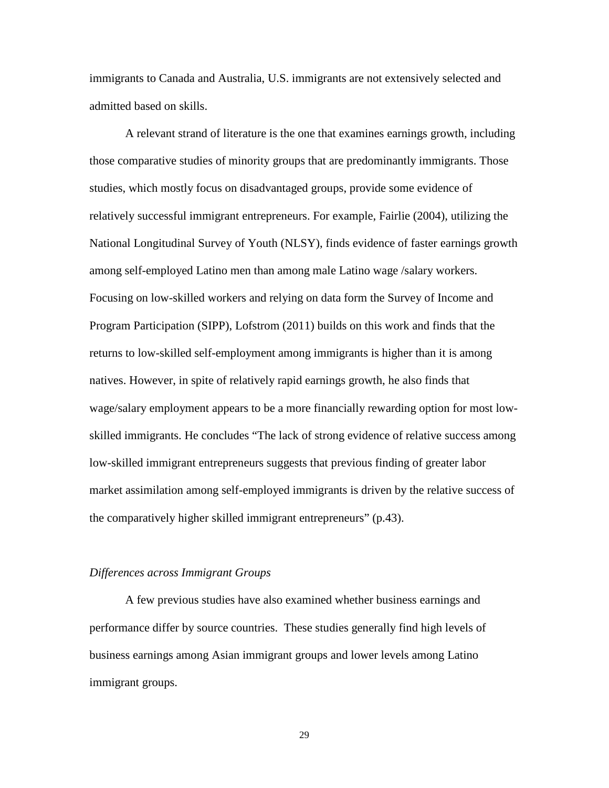immigrants to Canada and Australia, U.S. immigrants are not extensively selected and admitted based on skills.

A relevant strand of literature is the one that examines earnings growth, including those comparative studies of minority groups that are predominantly immigrants. Those studies, which mostly focus on disadvantaged groups, provide some evidence of relatively successful immigrant entrepreneurs. For example, Fairlie (2004), utilizing the National Longitudinal Survey of Youth (NLSY), finds evidence of faster earnings growth among self-employed Latino men than among male Latino wage /salary workers. Focusing on low-skilled workers and relying on data form the Survey of Income and Program Participation (SIPP), Lofstrom (2011) builds on this work and finds that the returns to low-skilled self-employment among immigrants is higher than it is among natives. However, in spite of relatively rapid earnings growth, he also finds that wage/salary employment appears to be a more financially rewarding option for most lowskilled immigrants. He concludes "The lack of strong evidence of relative success among low-skilled immigrant entrepreneurs suggests that previous finding of greater labor market assimilation among self-employed immigrants is driven by the relative success of the comparatively higher skilled immigrant entrepreneurs" (p.43).

#### *Differences across Immigrant Groups*

A few previous studies have also examined whether business earnings and performance differ by source countries. These studies generally find high levels of business earnings among Asian immigrant groups and lower levels among Latino immigrant groups.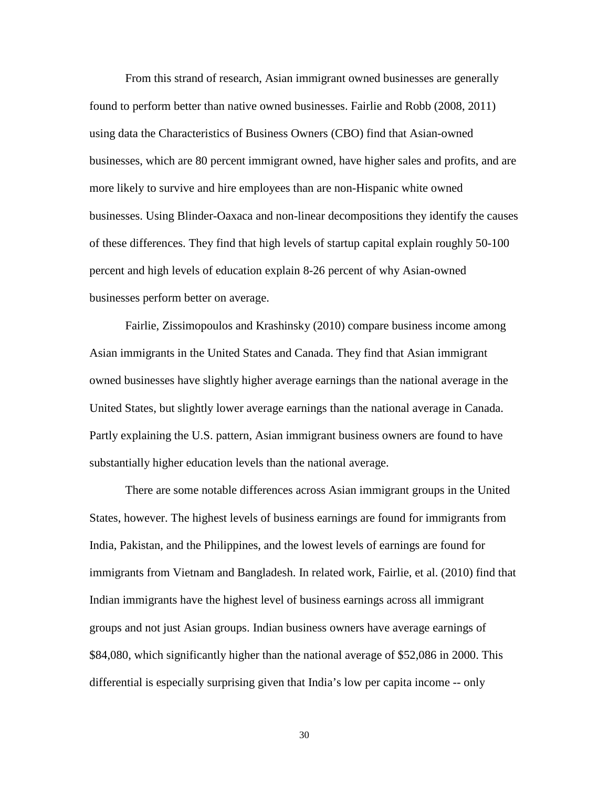From this strand of research, Asian immigrant owned businesses are generally found to perform better than native owned businesses. Fairlie and Robb (2008, 2011) using data the Characteristics of Business Owners (CBO) find that Asian-owned businesses, which are 80 percent immigrant owned, have higher sales and profits, and are more likely to survive and hire employees than are non-Hispanic white owned businesses. Using Blinder-Oaxaca and non-linear decompositions they identify the causes of these differences. They find that high levels of startup capital explain roughly 50-100 percent and high levels of education explain 8-26 percent of why Asian-owned businesses perform better on average.

Fairlie, Zissimopoulos and Krashinsky (2010) compare business income among Asian immigrants in the United States and Canada. They find that Asian immigrant owned businesses have slightly higher average earnings than the national average in the United States, but slightly lower average earnings than the national average in Canada. Partly explaining the U.S. pattern, Asian immigrant business owners are found to have substantially higher education levels than the national average.

There are some notable differences across Asian immigrant groups in the United States, however. The highest levels of business earnings are found for immigrants from India, Pakistan, and the Philippines, and the lowest levels of earnings are found for immigrants from Vietnam and Bangladesh. In related work, Fairlie, et al. (2010) find that Indian immigrants have the highest level of business earnings across all immigrant groups and not just Asian groups. Indian business owners have average earnings of \$84,080, which significantly higher than the national average of \$52,086 in 2000. This differential is especially surprising given that India's low per capita income -- only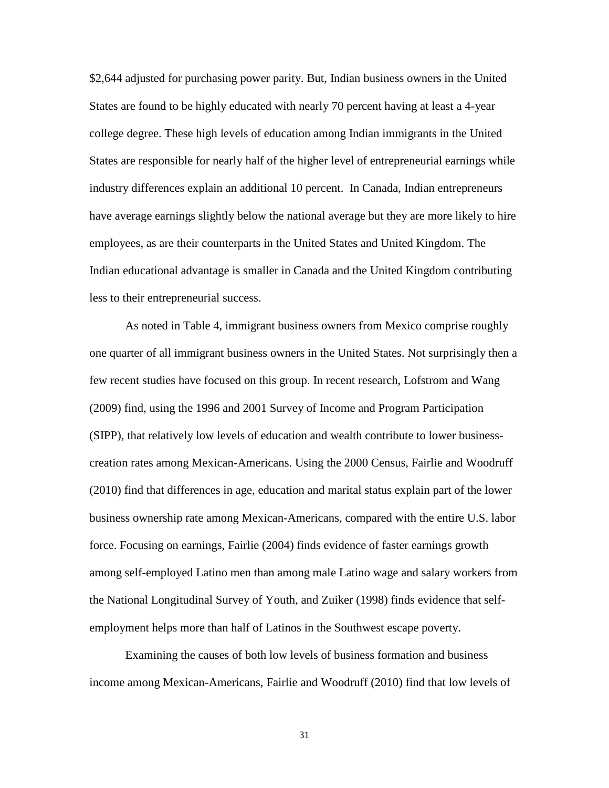\$2,644 adjusted for purchasing power parity. But, Indian business owners in the United States are found to be highly educated with nearly 70 percent having at least a 4-year college degree. These high levels of education among Indian immigrants in the United States are responsible for nearly half of the higher level of entrepreneurial earnings while industry differences explain an additional 10 percent. In Canada, Indian entrepreneurs have average earnings slightly below the national average but they are more likely to hire employees, as are their counterparts in the United States and United Kingdom. The Indian educational advantage is smaller in Canada and the United Kingdom contributing less to their entrepreneurial success.

As noted in Table 4, immigrant business owners from Mexico comprise roughly one quarter of all immigrant business owners in the United States. Not surprisingly then a few recent studies have focused on this group. In recent research, Lofstrom and Wang (2009) find, using the 1996 and 2001 Survey of Income and Program Participation (SIPP), that relatively low levels of education and wealth contribute to lower businesscreation rates among Mexican-Americans. Using the 2000 Census, Fairlie and Woodruff (2010) find that differences in age, education and marital status explain part of the lower business ownership rate among Mexican-Americans, compared with the entire U.S. labor force. Focusing on earnings, Fairlie (2004) finds evidence of faster earnings growth among self-employed Latino men than among male Latino wage and salary workers from the National Longitudinal Survey of Youth, and Zuiker (1998) finds evidence that selfemployment helps more than half of Latinos in the Southwest escape poverty.

Examining the causes of both low levels of business formation and business income among Mexican-Americans, Fairlie and Woodruff (2010) find that low levels of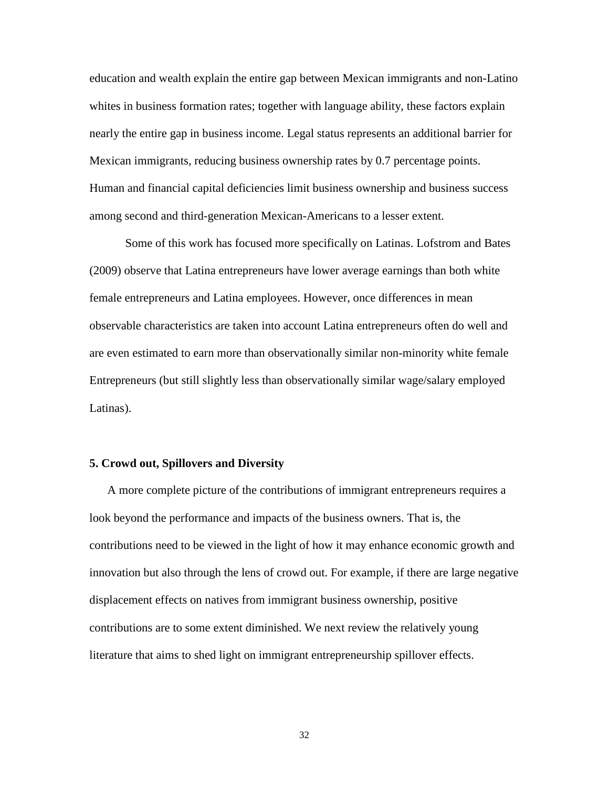education and wealth explain the entire gap between Mexican immigrants and non-Latino whites in business formation rates; together with language ability, these factors explain nearly the entire gap in business income. Legal status represents an additional barrier for Mexican immigrants, reducing business ownership rates by 0.7 percentage points. Human and financial capital deficiencies limit business ownership and business success among second and third-generation Mexican-Americans to a lesser extent.

Some of this work has focused more specifically on Latinas. Lofstrom and Bates (2009) observe that Latina entrepreneurs have lower average earnings than both white female entrepreneurs and Latina employees. However, once differences in mean observable characteristics are taken into account Latina entrepreneurs often do well and are even estimated to earn more than observationally similar non-minority white female Entrepreneurs (but still slightly less than observationally similar wage/salary employed Latinas).

#### **5. Crowd out, Spillovers and Diversity**

A more complete picture of the contributions of immigrant entrepreneurs requires a look beyond the performance and impacts of the business owners. That is, the contributions need to be viewed in the light of how it may enhance economic growth and innovation but also through the lens of crowd out. For example, if there are large negative displacement effects on natives from immigrant business ownership, positive contributions are to some extent diminished. We next review the relatively young literature that aims to shed light on immigrant entrepreneurship spillover effects.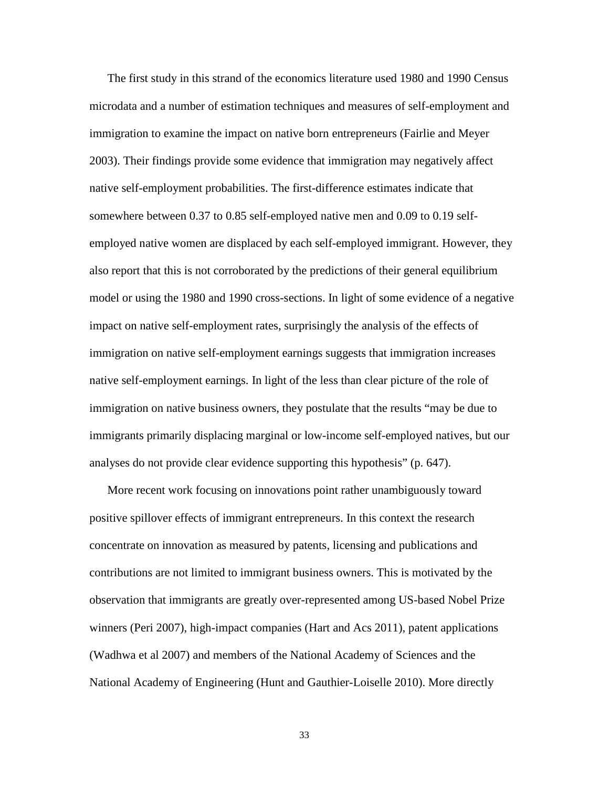The first study in this strand of the economics literature used 1980 and 1990 Census microdata and a number of estimation techniques and measures of self-employment and immigration to examine the impact on native born entrepreneurs (Fairlie and Meyer 2003). Their findings provide some evidence that immigration may negatively affect native self-employment probabilities. The first-difference estimates indicate that somewhere between 0.37 to 0.85 self-employed native men and 0.09 to 0.19 selfemployed native women are displaced by each self-employed immigrant. However, they also report that this is not corroborated by the predictions of their general equilibrium model or using the 1980 and 1990 cross-sections. In light of some evidence of a negative impact on native self-employment rates, surprisingly the analysis of the effects of immigration on native self-employment earnings suggests that immigration increases native self-employment earnings. In light of the less than clear picture of the role of immigration on native business owners, they postulate that the results "may be due to immigrants primarily displacing marginal or low-income self-employed natives, but our analyses do not provide clear evidence supporting this hypothesis" (p. 647).

More recent work focusing on innovations point rather unambiguously toward positive spillover effects of immigrant entrepreneurs. In this context the research concentrate on innovation as measured by patents, licensing and publications and contributions are not limited to immigrant business owners. This is motivated by the observation that immigrants are greatly over-represented among US-based Nobel Prize winners (Peri 2007), high-impact companies (Hart and Acs 2011), patent applications (Wadhwa et al 2007) and members of the National Academy of Sciences and the National Academy of Engineering (Hunt and Gauthier-Loiselle 2010). More directly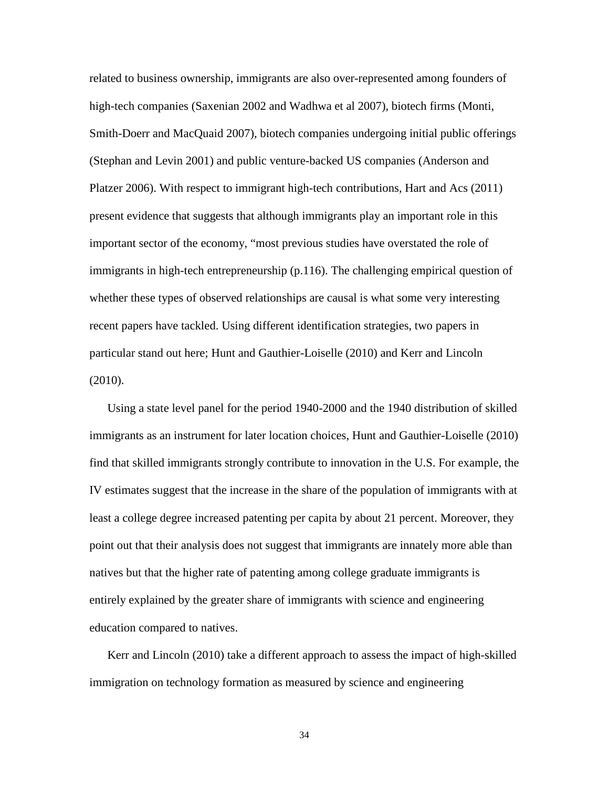related to business ownership, immigrants are also over-represented among founders of high-tech companies (Saxenian 2002 and Wadhwa et al 2007), biotech firms (Monti, Smith-Doerr and MacQuaid 2007), biotech companies undergoing initial public offerings (Stephan and Levin 2001) and public venture-backed US companies (Anderson and Platzer 2006). With respect to immigrant high-tech contributions, Hart and Acs (2011) present evidence that suggests that although immigrants play an important role in this important sector of the economy, "most previous studies have overstated the role of immigrants in high-tech entrepreneurship (p.116). The challenging empirical question of whether these types of observed relationships are causal is what some very interesting recent papers have tackled. Using different identification strategies, two papers in particular stand out here; Hunt and Gauthier-Loiselle (2010) and Kerr and Lincoln (2010).

Using a state level panel for the period 1940-2000 and the 1940 distribution of skilled immigrants as an instrument for later location choices, Hunt and Gauthier-Loiselle (2010) find that skilled immigrants strongly contribute to innovation in the U.S. For example, the IV estimates suggest that the increase in the share of the population of immigrants with at least a college degree increased patenting per capita by about 21 percent. Moreover, they point out that their analysis does not suggest that immigrants are innately more able than natives but that the higher rate of patenting among college graduate immigrants is entirely explained by the greater share of immigrants with science and engineering education compared to natives.

Kerr and Lincoln (2010) take a different approach to assess the impact of high-skilled immigration on technology formation as measured by science and engineering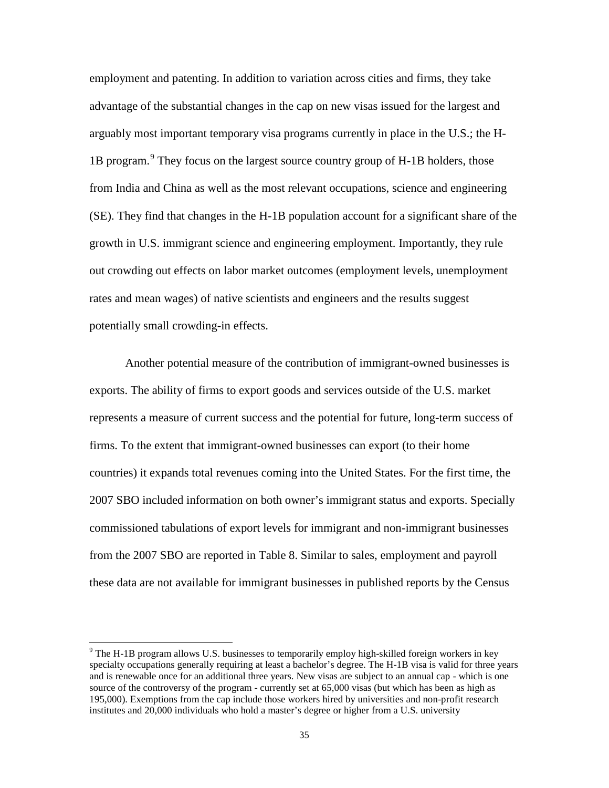employment and patenting. In addition to variation across cities and firms, they take advantage of the substantial changes in the cap on new visas issued for the largest and arguably most important temporary visa programs currently in place in the U.S.; the H-1B program.<sup>[9](#page-37-0)</sup> They focus on the largest source country group of H-1B holders, those from India and China as well as the most relevant occupations, science and engineering (SE). They find that changes in the H-1B population account for a significant share of the growth in U.S. immigrant science and engineering employment. Importantly, they rule out crowding out effects on labor market outcomes (employment levels, unemployment rates and mean wages) of native scientists and engineers and the results suggest potentially small crowding-in effects.

Another potential measure of the contribution of immigrant-owned businesses is exports. The ability of firms to export goods and services outside of the U.S. market represents a measure of current success and the potential for future, long-term success of firms. To the extent that immigrant-owned businesses can export (to their home countries) it expands total revenues coming into the United States. For the first time, the 2007 SBO included information on both owner's immigrant status and exports. Specially commissioned tabulations of export levels for immigrant and non-immigrant businesses from the 2007 SBO are reported in Table 8. Similar to sales, employment and payroll these data are not available for immigrant businesses in published reports by the Census

<span id="page-37-0"></span><sup>&</sup>lt;sup>9</sup> The H-1B program allows U.S. businesses to temporarily employ high-skilled foreign workers in key specialty occupations generally requiring at least a bachelor's degree. The H-1B visa is valid for three years and is renewable once for an additional three years. New visas are subject to an annual cap - which is one source of the controversy of the program - currently set at 65,000 visas (but which has been as high as 195,000). Exemptions from the cap include those workers hired by universities and non-profit research institutes and 20,000 individuals who hold a master's degree or higher from a U.S. university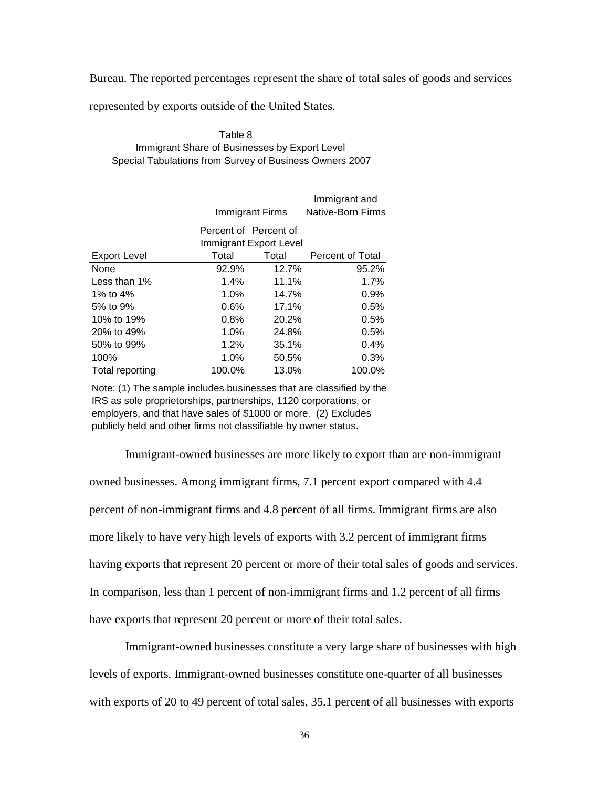Bureau. The reported percentages represent the share of total sales of goods and services

represented by exports outside of the United States.

| Table 8                                                 |
|---------------------------------------------------------|
| Immigrant Share of Businesses by Export Level           |
| Special Tabulations from Survey of Business Owners 2007 |

|                     |                       | Immigrant Firms        | Immigrant and<br>Native-Born Firms |
|---------------------|-----------------------|------------------------|------------------------------------|
|                     | Percent of Percent of |                        |                                    |
|                     |                       | Immigrant Export Level |                                    |
| <b>Export Level</b> | Total                 | Total                  | Percent of Total                   |
| None                | 92.9%                 | 12.7%                  | 95.2%                              |
| Less than 1%        | 1.4%                  | 11.1%                  | 1.7%                               |
| 1% to $4\%$         | 1.0%                  | 14.7%                  | 0.9%                               |
| 5% to 9%            | $0.6\%$               | 17.1%                  | 0.5%                               |
| 10% to 19%          | 0.8%                  | 20.2%                  | 0.5%                               |
| 20% to 49%          | 1.0%                  | 24.8%                  | 0.5%                               |
| 50% to 99%          | 1.2%                  | 35.1%                  | 0.4%                               |
| 100%                | 1.0%                  | 50.5%                  | 0.3%                               |
| Total reporting     | 100.0%                | 13.0%                  | 100.0%                             |

Note: (1) The sample includes businesses that are classified by the IRS as sole proprietorships, partnerships, 1120 corporations, or employers, and that have sales of \$1000 or more. (2) Excludes publicly held and other firms not classifiable by owner status.

Immigrant-owned businesses are more likely to export than are non-immigrant owned businesses. Among immigrant firms, 7.1 percent export compared with 4.4 percent of non-immigrant firms and 4.8 percent of all firms. Immigrant firms are also more likely to have very high levels of exports with 3.2 percent of immigrant firms having exports that represent 20 percent or more of their total sales of goods and services. In comparison, less than 1 percent of non-immigrant firms and 1.2 percent of all firms have exports that represent 20 percent or more of their total sales.

Immigrant-owned businesses constitute a very large share of businesses with high levels of exports. Immigrant-owned businesses constitute one-quarter of all businesses with exports of 20 to 49 percent of total sales, 35.1 percent of all businesses with exports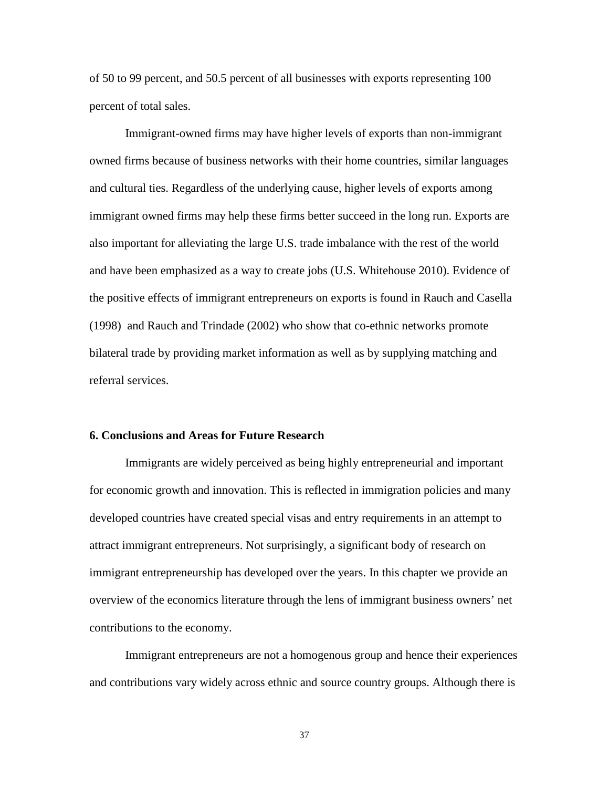of 50 to 99 percent, and 50.5 percent of all businesses with exports representing 100 percent of total sales.

Immigrant-owned firms may have higher levels of exports than non-immigrant owned firms because of business networks with their home countries, similar languages and cultural ties. Regardless of the underlying cause, higher levels of exports among immigrant owned firms may help these firms better succeed in the long run. Exports are also important for alleviating the large U.S. trade imbalance with the rest of the world and have been emphasized as a way to create jobs (U.S. Whitehouse 2010). Evidence of the positive effects of immigrant entrepreneurs on exports is found in Rauch and Casella (1998) and Rauch and Trindade (2002) who show that co-ethnic networks promote bilateral trade by providing market information as well as by supplying matching and referral services.

#### **6. Conclusions and Areas for Future Research**

Immigrants are widely perceived as being highly entrepreneurial and important for economic growth and innovation. This is reflected in immigration policies and many developed countries have created special visas and entry requirements in an attempt to attract immigrant entrepreneurs. Not surprisingly, a significant body of research on immigrant entrepreneurship has developed over the years. In this chapter we provide an overview of the economics literature through the lens of immigrant business owners' net contributions to the economy.

Immigrant entrepreneurs are not a homogenous group and hence their experiences and contributions vary widely across ethnic and source country groups. Although there is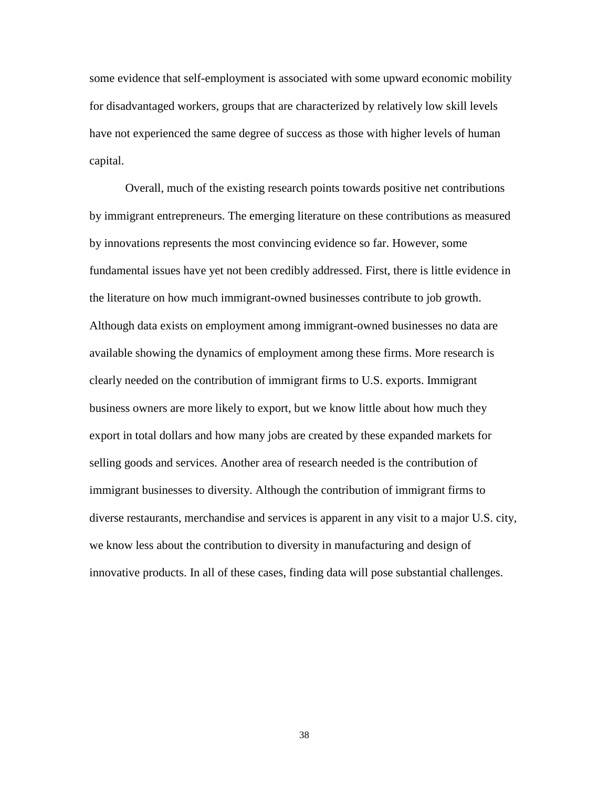some evidence that self-employment is associated with some upward economic mobility for disadvantaged workers, groups that are characterized by relatively low skill levels have not experienced the same degree of success as those with higher levels of human capital.

Overall, much of the existing research points towards positive net contributions by immigrant entrepreneurs. The emerging literature on these contributions as measured by innovations represents the most convincing evidence so far. However, some fundamental issues have yet not been credibly addressed. First, there is little evidence in the literature on how much immigrant-owned businesses contribute to job growth. Although data exists on employment among immigrant-owned businesses no data are available showing the dynamics of employment among these firms. More research is clearly needed on the contribution of immigrant firms to U.S. exports. Immigrant business owners are more likely to export, but we know little about how much they export in total dollars and how many jobs are created by these expanded markets for selling goods and services. Another area of research needed is the contribution of immigrant businesses to diversity. Although the contribution of immigrant firms to diverse restaurants, merchandise and services is apparent in any visit to a major U.S. city, we know less about the contribution to diversity in manufacturing and design of innovative products. In all of these cases, finding data will pose substantial challenges.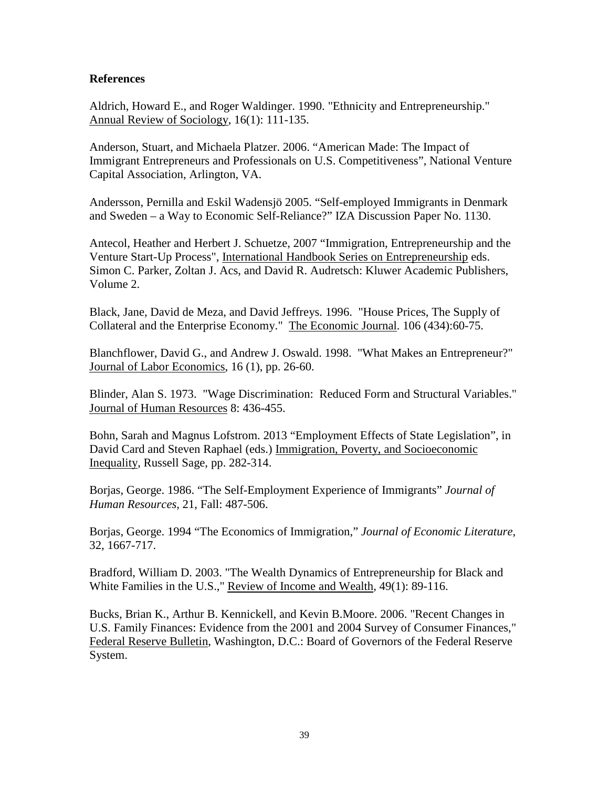#### **References**

Aldrich, Howard E., and Roger Waldinger. 1990. "Ethnicity and Entrepreneurship." Annual Review of Sociology, 16(1): 111-135.

Anderson, Stuart, and Michaela Platzer. 2006. "American Made: The Impact of Immigrant Entrepreneurs and Professionals on U.S. Competitiveness", National Venture Capital Association, Arlington, VA.

Andersson, Pernilla and Eskil Wadensjö 2005. "Self-employed Immigrants in Denmark and Sweden – a Way to Economic Self-Reliance?" IZA Discussion Paper No. 1130.

Antecol, Heather and Herbert J. Schuetze, 2007 "Immigration, Entrepreneurship and the Venture Start-Up Process", International Handbook Series on Entrepreneurship eds. Simon C. Parker, Zoltan J. Acs, and David R. Audretsch: Kluwer Academic Publishers, Volume 2.

Black, Jane, David de Meza, and David Jeffreys. 1996. "House Prices, The Supply of Collateral and the Enterprise Economy." The Economic Journal. 106 (434):60-75.

Blanchflower, David G., and Andrew J. Oswald. 1998. "What Makes an Entrepreneur?" Journal of Labor Economics, 16 (1), pp. 26-60.

Blinder, Alan S. 1973. "Wage Discrimination: Reduced Form and Structural Variables." Journal of Human Resources 8: 436-455.

Bohn, Sarah and Magnus Lofstrom. 2013 "Employment Effects of State Legislation", in David Card and Steven Raphael (eds.) Immigration, Poverty, and Socioeconomic Inequality, Russell Sage, pp. 282-314.

Borjas, George. 1986. "The Self-Employment Experience of Immigrants" *Journal of Human Resources*, 21, Fall: 487-506.

Borjas, George. 1994 "The Economics of Immigration," *Journal of Economic Literature*, 32, 1667-717.

Bradford, William D. 2003. "The Wealth Dynamics of Entrepreneurship for Black and White Families in the U.S.," Review of Income and Wealth, 49(1): 89-116.

Bucks, Brian K., Arthur B. Kennickell, and Kevin B.Moore. 2006. "Recent Changes in U.S. Family Finances: Evidence from the 2001 and 2004 Survey of Consumer Finances," Federal Reserve Bulletin, Washington, D.C.: Board of Governors of the Federal Reserve System.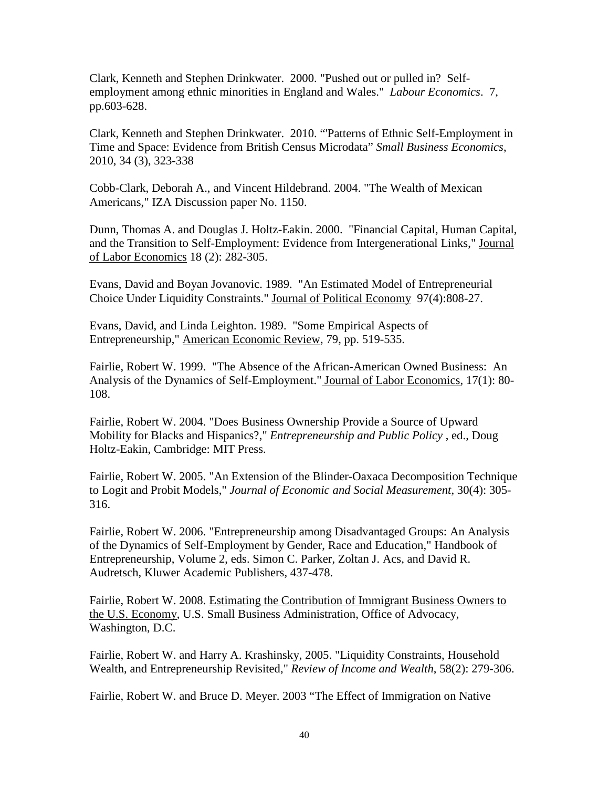Clark, Kenneth and Stephen Drinkwater. 2000. "Pushed out or pulled in? Selfemployment among ethnic minorities in England and Wales." *Labour Economics*. 7, pp.603-628.

Clark, Kenneth and Stephen Drinkwater. 2010. "'Patterns of Ethnic Self-Employment in Time and Space: Evidence from British Census Microdata" *Small Business Economics*, 2010, 34 (3), 323-338

Cobb-Clark, Deborah A., and Vincent Hildebrand. 2004. "The Wealth of Mexican Americans," IZA Discussion paper No. 1150.

Dunn, Thomas A. and Douglas J. Holtz-Eakin. 2000. "Financial Capital, Human Capital, and the Transition to Self-Employment: Evidence from Intergenerational Links," Journal of Labor Economics 18 (2): 282-305.

Evans, David and Boyan Jovanovic. 1989. "An Estimated Model of Entrepreneurial Choice Under Liquidity Constraints." Journal of Political Economy 97(4):808-27.

Evans, David, and Linda Leighton. 1989. "Some Empirical Aspects of Entrepreneurship," American Economic Review, 79, pp. 519-535.

Fairlie, Robert W. 1999. "The Absence of the African-American Owned Business: An Analysis of the Dynamics of Self-Employment." Journal of Labor Economics, 17(1): 80- 108.

Fairlie, Robert W. 2004. "Does Business Ownership Provide a Source of Upward Mobility for Blacks and Hispanics?," *Entrepreneurship and Public Policy* , ed., Doug Holtz-Eakin, Cambridge: MIT Press.

Fairlie, Robert W. 2005. "An Extension of the Blinder-Oaxaca Decomposition Technique to Logit and Probit Models," *Journal of Economic and Social Measurement*, 30(4): 305- 316.

Fairlie, Robert W. 2006. "Entrepreneurship among Disadvantaged Groups: An Analysis of the Dynamics of Self-Employment by Gender, Race and Education," Handbook of Entrepreneurship, Volume 2, eds. Simon C. Parker, Zoltan J. Acs, and David R. Audretsch, Kluwer Academic Publishers, 437-478.

Fairlie, Robert W. 2008. Estimating the Contribution of Immigrant Business Owners to the U.S. Economy, U.S. Small Business Administration, Office of Advocacy, Washington, D.C.

Fairlie, Robert W. and Harry A. Krashinsky, 2005. "Liquidity Constraints, Household Wealth, and Entrepreneurship Revisited," *Review of Income and Wealth*, 58(2): 279-306.

Fairlie, Robert W. and Bruce D. Meyer. 2003 "The Effect of Immigration on Native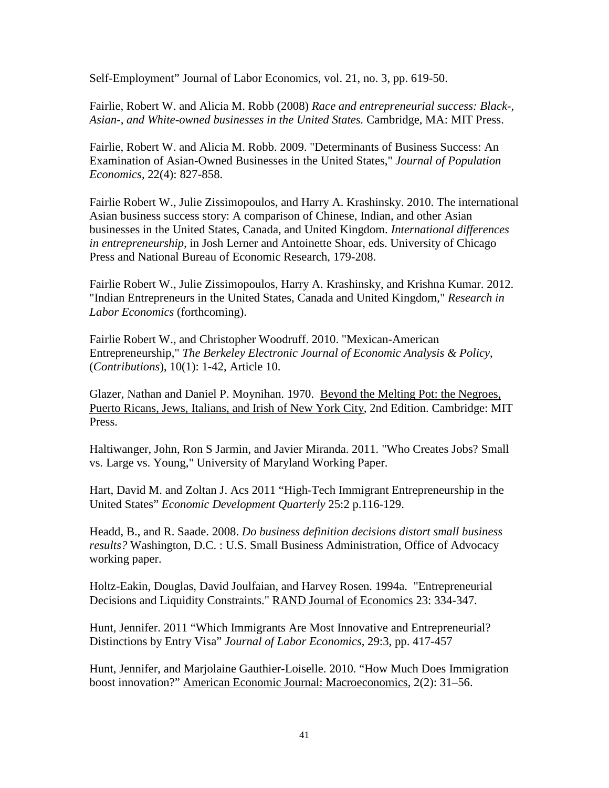Self-Employment" Journal of Labor Economics, vol. 21, no. 3, pp. 619-50.

Fairlie, Robert W. and Alicia M. Robb (2008) *Race and entrepreneurial success: Black-, Asian-, and White-owned businesses in the United States.* Cambridge, MA: MIT Press.

Fairlie, Robert W. and Alicia M. Robb. 2009. "Determinants of Business Success: An Examination of Asian-Owned Businesses in the United States," *Journal of Population Economics*, 22(4): 827-858.

Fairlie Robert W., Julie Zissimopoulos, and Harry A. Krashinsky. 2010. The international Asian business success story: A comparison of Chinese, Indian, and other Asian businesses in the United States, Canada, and United Kingdom. *International differences in entrepreneurship,* in Josh Lerner and Antoinette Shoar, eds. University of Chicago Press and National Bureau of Economic Research, 179-208.

Fairlie Robert W., Julie Zissimopoulos, Harry A. Krashinsky, and Krishna Kumar. 2012. "Indian Entrepreneurs in the United States, Canada and United Kingdom," *Research in Labor Economics* (forthcoming).

Fairlie Robert W., and Christopher Woodruff. 2010. "Mexican-American Entrepreneurship," *The Berkeley Electronic Journal of Economic Analysis & Policy*, (*Contributions*), 10(1): 1-42, Article 10.

Glazer, Nathan and Daniel P. Moynihan. 1970. Beyond the Melting Pot: the Negroes, Puerto Ricans, Jews, Italians, and Irish of New York City, 2nd Edition. Cambridge: MIT Press.

Haltiwanger, John, Ron S Jarmin, and Javier Miranda. 2011. "Who Creates Jobs? Small vs. Large vs. Young," University of Maryland Working Paper.

Hart, David M. and Zoltan J. Acs 2011 "High-Tech Immigrant Entrepreneurship in the United States" *Economic Development Quarterly* 25:2 p.116-129.

Headd, B., and R. Saade. 2008. *Do business definition decisions distort small business results?* Washington, D.C. : U.S. Small Business Administration, Office of Advocacy working paper.

Holtz-Eakin, Douglas, David Joulfaian, and Harvey Rosen. 1994a. "Entrepreneurial Decisions and Liquidity Constraints." RAND Journal of Economics 23: 334-347.

Hunt, Jennifer. 2011 "Which Immigrants Are Most Innovative and Entrepreneurial? Distinctions by Entry Visa" *Journal of Labor Economics*, 29:3, pp. 417-457

Hunt, Jennifer, and Marjolaine Gauthier-Loiselle. 2010. "How Much Does Immigration boost innovation?" American Economic Journal: Macroeconomics, 2(2): 31–56.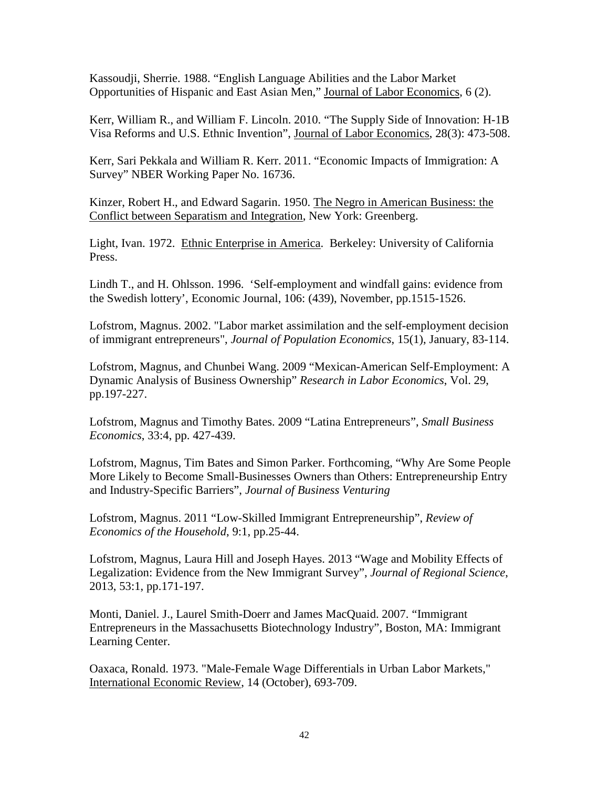Kassoudji, Sherrie. 1988. "English Language Abilities and the Labor Market Opportunities of Hispanic and East Asian Men," Journal of Labor Economics, 6 (2).

Kerr, William R., and William F. Lincoln. 2010. "The Supply Side of Innovation: H-1B Visa Reforms and U.S. Ethnic Invention", Journal of Labor Economics, 28(3): 473-508.

Kerr, Sari Pekkala and William R. Kerr. 2011. "Economic Impacts of Immigration: A Survey" NBER Working Paper No. 16736.

Kinzer, Robert H., and Edward Sagarin. 1950. The Negro in American Business: the Conflict between Separatism and Integration, New York: Greenberg.

Light, Ivan. 1972. Ethnic Enterprise in America. Berkeley: University of California Press.

Lindh T., and H. Ohlsson. 1996. 'Self-employment and windfall gains: evidence from the Swedish lottery', Economic Journal, 106: (439), November, pp.1515-1526.

Lofstrom, Magnus. 2002. "Labor market assimilation and the self-employment decision of immigrant entrepreneurs", *Journal of Population Economics*, 15(1), January, 83-114.

Lofstrom, Magnus, and Chunbei Wang. 2009 "Mexican-American Self-Employment: A Dynamic Analysis of Business Ownership" *Research in Labor Economics*, Vol. 29, pp.197-227.

Lofstrom, Magnus and Timothy Bates. 2009 "Latina Entrepreneurs", *Small Business Economics*, 33:4, pp. 427-439.

Lofstrom, Magnus, Tim Bates and Simon Parker. Forthcoming, "Why Are Some People More Likely to Become Small-Businesses Owners than Others: Entrepreneurship Entry and Industry-Specific Barriers", *Journal of Business Venturing*

Lofstrom, Magnus. 2011 "Low-Skilled Immigrant Entrepreneurship", *Review of Economics of the Household*, 9:1, pp.25-44.

Lofstrom, Magnus, Laura Hill and Joseph Hayes. 2013 "Wage and Mobility Effects of Legalization: Evidence from the New Immigrant Survey", *Journal of Regional Science*, 2013, 53:1, pp.171-197.

Monti, Daniel. J., Laurel Smith-Doerr and James MacQuaid. 2007. "Immigrant Entrepreneurs in the Massachusetts Biotechnology Industry", Boston, MA: Immigrant Learning Center.

Oaxaca, Ronald. 1973. "Male-Female Wage Differentials in Urban Labor Markets," International Economic Review, 14 (October), 693-709.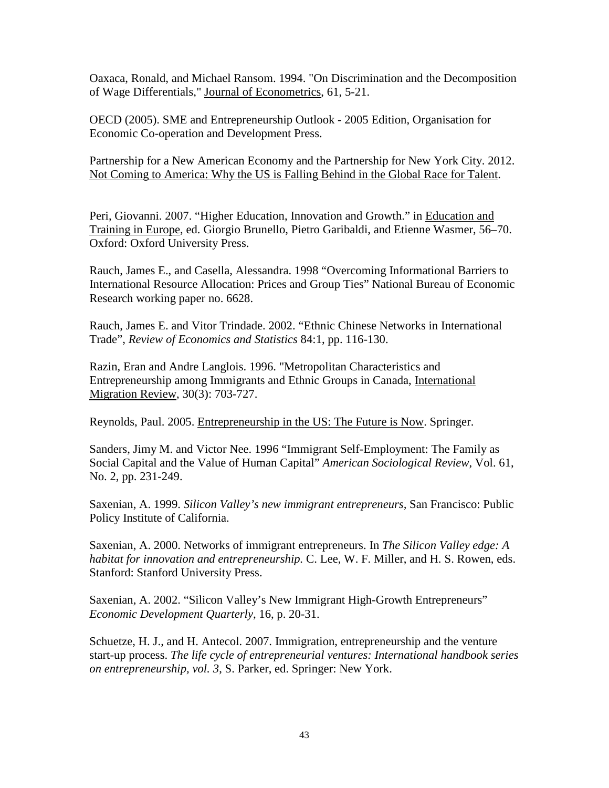Oaxaca, Ronald, and Michael Ransom. 1994. "On Discrimination and the Decomposition of Wage Differentials," Journal of Econometrics, 61, 5-21.

OECD (2005). SME and Entrepreneurship Outlook - 2005 Edition, Organisation for Economic Co-operation and Development Press.

Partnership for a New American Economy and the Partnership for New York City. 2012. Not Coming to America: Why the US is Falling Behind in the Global Race for Talent.

Peri, Giovanni. 2007. "Higher Education, Innovation and Growth." in Education and Training in Europe, ed. Giorgio Brunello, Pietro Garibaldi, and Etienne Wasmer, 56–70. Oxford: Oxford University Press.

Rauch, James E., and Casella, Alessandra. 1998 "Overcoming Informational Barriers to International Resource Allocation: Prices and Group Ties" National Bureau of Economic Research working paper no. 6628.

Rauch, James E. and Vitor Trindade. 2002. "Ethnic Chinese Networks in International Trade", *Review of Economics and Statistics* 84:1, pp. 116-130.

Razin, Eran and Andre Langlois. 1996. "Metropolitan Characteristics and Entrepreneurship among Immigrants and Ethnic Groups in Canada, International Migration Review, 30(3): 703-727.

Reynolds, Paul. 2005. Entrepreneurship in the US: The Future is Now. Springer.

Sanders, Jimy M. and Victor Nee. 1996 "Immigrant Self-Employment: The Family as Social Capital and the Value of Human Capital" *American Sociological Review*, Vol. 61, No. 2, pp. 231-249.

Saxenian, A. 1999. *Silicon Valley's new immigrant entrepreneurs,* San Francisco: Public Policy Institute of California.

Saxenian, A. 2000. Networks of immigrant entrepreneurs. In *The Silicon Valley edge: A habitat for innovation and entrepreneurship.* C. Lee, W. F. Miller, and H. S. Rowen, eds. Stanford: Stanford University Press.

Saxenian, A. 2002. "Silicon Valley's New Immigrant High-Growth Entrepreneurs" *Economic Development Quarterly*, 16, p. 20-31.

Schuetze, H. J., and H. Antecol. 2007. Immigration, entrepreneurship and the venture start-up process. *The life cycle of entrepreneurial ventures: [International handbook series](http://www.springer.com/dal/home/business/entrepreneurship?SGWID=1-40530-69-173624751-0)  [on entrepreneurship,](http://www.springer.com/dal/home/business/entrepreneurship?SGWID=1-40530-69-173624751-0) vol. 3*, S. Parker, ed. Springer: New York.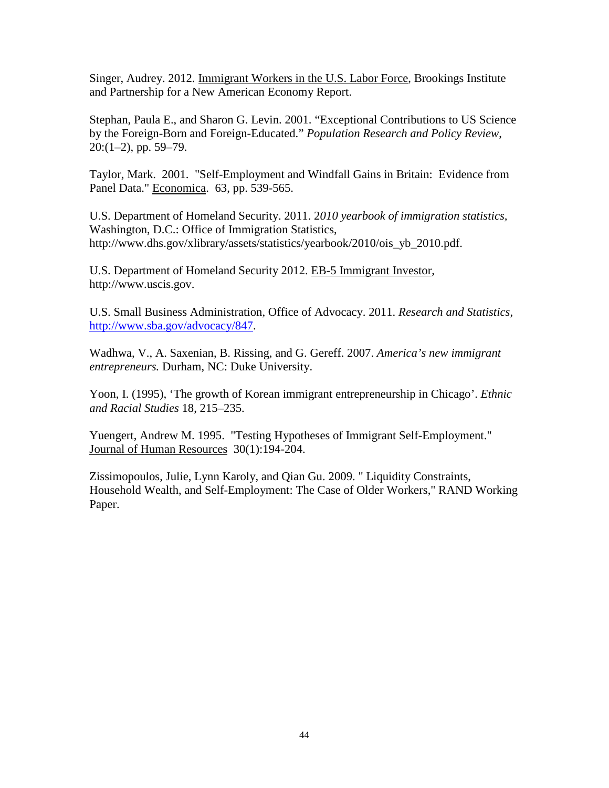Singer, Audrey. 2012. Immigrant Workers in the U.S. Labor Force, Brookings Institute and Partnership for a New American Economy Report.

Stephan, Paula E., and Sharon G. Levin. 2001. "Exceptional Contributions to US Science by the Foreign-Born and Foreign-Educated." *Population Research and Policy Review*,  $20:(1-2)$ , pp. 59-79.

Taylor, Mark. 2001. "Self-Employment and Windfall Gains in Britain: Evidence from Panel Data." Economica. 63, pp. 539-565.

U.S. Department of Homeland Security. 2011. 2*010 yearbook of immigration statistics,* Washington, D.C.: Office of Immigration Statistics, http://www.dhs.gov/xlibrary/assets/statistics/yearbook/2010/ois\_yb\_2010.pdf.

U.S. Department of Homeland Security 2012. EB-5 Immigrant Investor, http://www.uscis.gov.

U.S. Small Business Administration, Office of Advocacy. 2011. *Research and Statistics*, [http://www.sba.gov/advocacy/847.](http://www.sba.gov/advocacy/847)

Wadhwa, V., A. Saxenian, B. Rissing, and G. Gereff. 2007. *America's new immigrant entrepreneurs.* Durham, NC: Duke University.

Yoon, I. (1995), 'The growth of Korean immigrant entrepreneurship in Chicago'. *Ethnic and Racial Studies* 18, 215–235.

Yuengert, Andrew M. 1995. "Testing Hypotheses of Immigrant Self-Employment." Journal of Human Resources 30(1):194-204.

Zissimopoulos, Julie, Lynn Karoly, and Qian Gu. 2009. " Liquidity Constraints, Household Wealth, and Self-Employment: The Case of Older Workers," RAND Working Paper.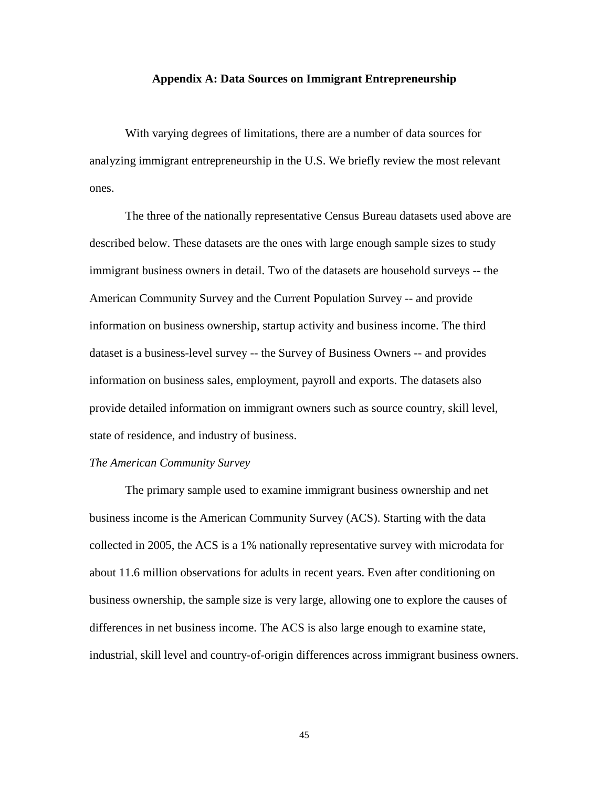#### **Appendix A: Data Sources on Immigrant Entrepreneurship**

With varying degrees of limitations, there are a number of data sources for analyzing immigrant entrepreneurship in the U.S. We briefly review the most relevant ones.

The three of the nationally representative Census Bureau datasets used above are described below. These datasets are the ones with large enough sample sizes to study immigrant business owners in detail. Two of the datasets are household surveys -- the American Community Survey and the Current Population Survey -- and provide information on business ownership, startup activity and business income. The third dataset is a business-level survey -- the Survey of Business Owners -- and provides information on business sales, employment, payroll and exports. The datasets also provide detailed information on immigrant owners such as source country, skill level, state of residence, and industry of business.

#### *The American Community Survey*

The primary sample used to examine immigrant business ownership and net business income is the American Community Survey (ACS). Starting with the data collected in 2005, the ACS is a 1% nationally representative survey with microdata for about 11.6 million observations for adults in recent years. Even after conditioning on business ownership, the sample size is very large, allowing one to explore the causes of differences in net business income. The ACS is also large enough to examine state, industrial, skill level and country-of-origin differences across immigrant business owners.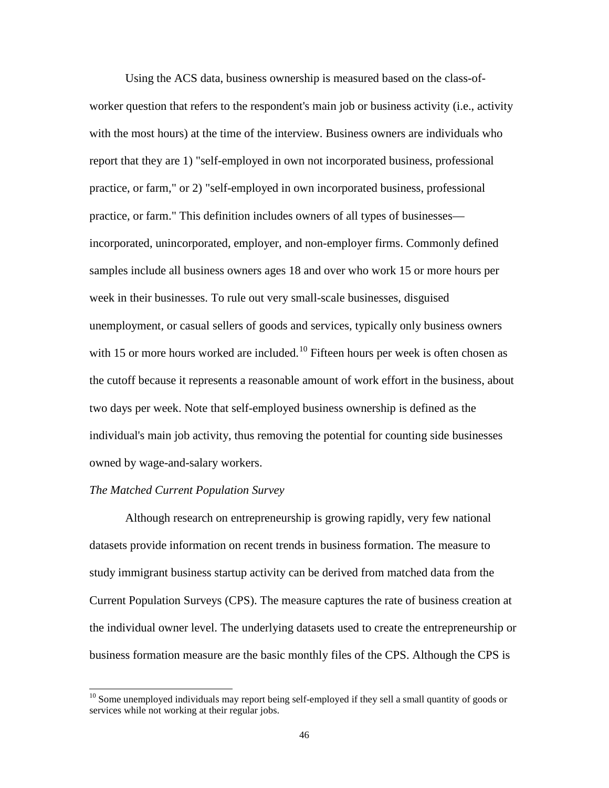Using the ACS data, business ownership is measured based on the class-ofworker question that refers to the respondent's main job or business activity (i.e., activity with the most hours) at the time of the interview. Business owners are individuals who report that they are 1) "self-employed in own not incorporated business, professional practice, or farm," or 2) "self-employed in own incorporated business, professional practice, or farm." This definition includes owners of all types of businesses incorporated, unincorporated, employer, and non-employer firms. Commonly defined samples include all business owners ages 18 and over who work 15 or more hours per week in their businesses. To rule out very small-scale businesses, disguised unemployment, or casual sellers of goods and services, typically only business owners with 15 or more hours worked are included.<sup>[10](#page-48-0)</sup> Fifteen hours per week is often chosen as the cutoff because it represents a reasonable amount of work effort in the business, about two days per week. Note that self-employed business ownership is defined as the individual's main job activity, thus removing the potential for counting side businesses owned by wage-and-salary workers.

#### *The Matched Current Population Survey*

Although research on entrepreneurship is growing rapidly, very few national datasets provide information on recent trends in business formation. The measure to study immigrant business startup activity can be derived from matched data from the Current Population Surveys (CPS). The measure captures the rate of business creation at the individual owner level. The underlying datasets used to create the entrepreneurship or business formation measure are the basic monthly files of the CPS. Although the CPS is

<span id="page-48-0"></span> $10$  Some unemployed individuals may report being self-employed if they sell a small quantity of goods or services while not working at their regular jobs.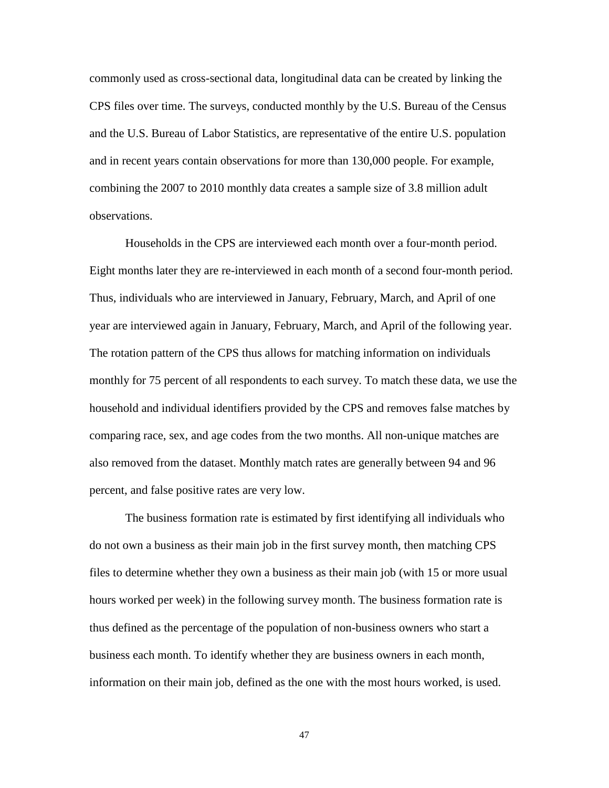commonly used as cross-sectional data, longitudinal data can be created by linking the CPS files over time. The surveys, conducted monthly by the U.S. Bureau of the Census and the U.S. Bureau of Labor Statistics, are representative of the entire U.S. population and in recent years contain observations for more than 130,000 people. For example, combining the 2007 to 2010 monthly data creates a sample size of 3.8 million adult observations.

Households in the CPS are interviewed each month over a four-month period. Eight months later they are re-interviewed in each month of a second four-month period. Thus, individuals who are interviewed in January, February, March, and April of one year are interviewed again in January, February, March, and April of the following year. The rotation pattern of the CPS thus allows for matching information on individuals monthly for 75 percent of all respondents to each survey. To match these data, we use the household and individual identifiers provided by the CPS and removes false matches by comparing race, sex, and age codes from the two months. All non-unique matches are also removed from the dataset. Monthly match rates are generally between 94 and 96 percent, and false positive rates are very low.

The business formation rate is estimated by first identifying all individuals who do not own a business as their main job in the first survey month, then matching CPS files to determine whether they own a business as their main job (with 15 or more usual hours worked per week) in the following survey month. The business formation rate is thus defined as the percentage of the population of non-business owners who start a business each month. To identify whether they are business owners in each month, information on their main job, defined as the one with the most hours worked, is used.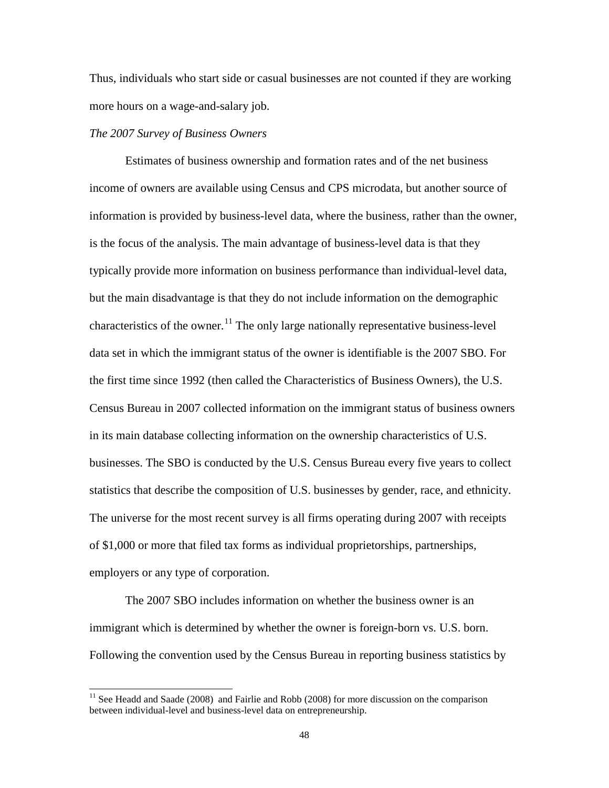Thus, individuals who start side or casual businesses are not counted if they are working more hours on a wage-and-salary job.

#### *The 2007 Survey of Business Owners*

Estimates of business ownership and formation rates and of the net business income of owners are available using Census and CPS microdata, but another source of information is provided by business-level data, where the business, rather than the owner, is the focus of the analysis. The main advantage of business-level data is that they typically provide more information on business performance than individual-level data, but the main disadvantage is that they do not include information on the demographic characteristics of the owner.<sup>[11](#page-50-0)</sup> The only large nationally representative business-level data set in which the immigrant status of the owner is identifiable is the 2007 SBO. For the first time since 1992 (then called the Characteristics of Business Owners), the U.S. Census Bureau in 2007 collected information on the immigrant status of business owners in its main database collecting information on the ownership characteristics of U.S. businesses. The SBO is conducted by the U.S. Census Bureau every five years to collect statistics that describe the composition of U.S. businesses by gender, race, and ethnicity. The universe for the most recent survey is all firms operating during 2007 with receipts of \$1,000 or more that filed tax forms as individual proprietorships, partnerships, employers or any type of corporation.

The 2007 SBO includes information on whether the business owner is an immigrant which is determined by whether the owner is foreign-born vs. U.S. born. Following the convention used by the Census Bureau in reporting business statistics by

<span id="page-50-0"></span> $11$  See Headd and Saade (2008) and Fairlie and Robb (2008) for more discussion on the comparison between individual-level and business-level data on entrepreneurship.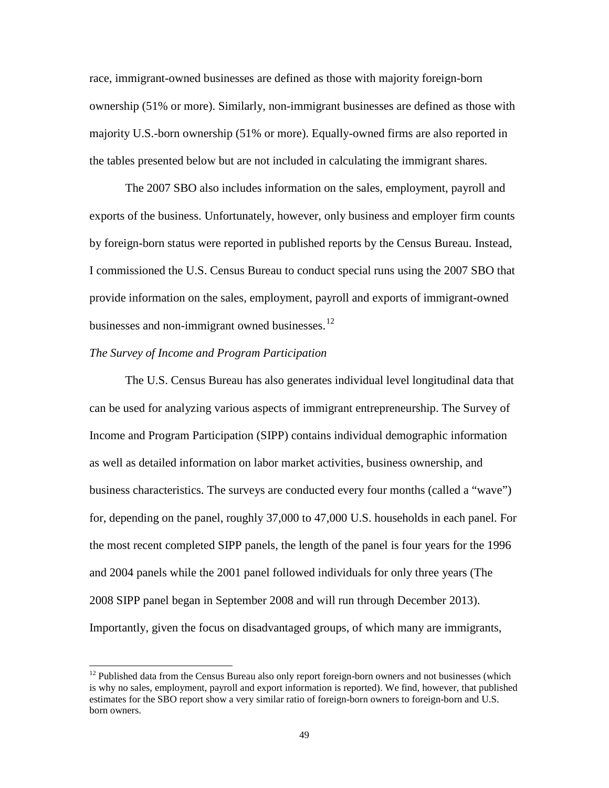race, immigrant-owned businesses are defined as those with majority foreign-born ownership (51% or more). Similarly, non-immigrant businesses are defined as those with majority U.S.-born ownership (51% or more). Equally-owned firms are also reported in the tables presented below but are not included in calculating the immigrant shares.

The 2007 SBO also includes information on the sales, employment, payroll and exports of the business. Unfortunately, however, only business and employer firm counts by foreign-born status were reported in published reports by the Census Bureau. Instead, I commissioned the U.S. Census Bureau to conduct special runs using the 2007 SBO that provide information on the sales, employment, payroll and exports of immigrant-owned businesses and non-immigrant owned businesses. $^{12}$  $^{12}$  $^{12}$ 

#### *The Survey of Income and Program Participation*

The U.S. Census Bureau has also generates individual level longitudinal data that can be used for analyzing various aspects of immigrant entrepreneurship. The Survey of Income and Program Participation (SIPP) contains individual demographic information as well as detailed information on labor market activities, business ownership, and business characteristics. The surveys are conducted every four months (called a "wave") for, depending on the panel, roughly 37,000 to 47,000 U.S. households in each panel. For the most recent completed SIPP panels, the length of the panel is four years for the 1996 and 2004 panels while the 2001 panel followed individuals for only three years (The 2008 SIPP panel began in September 2008 and will run through December 2013). Importantly, given the focus on disadvantaged groups, of which many are immigrants,

<span id="page-51-0"></span> $12$  Published data from the Census Bureau also only report foreign-born owners and not businesses (which is why no sales, employment, payroll and export information is reported). We find, however, that published estimates for the SBO report show a very similar ratio of foreign-born owners to foreign-born and U.S. born owners.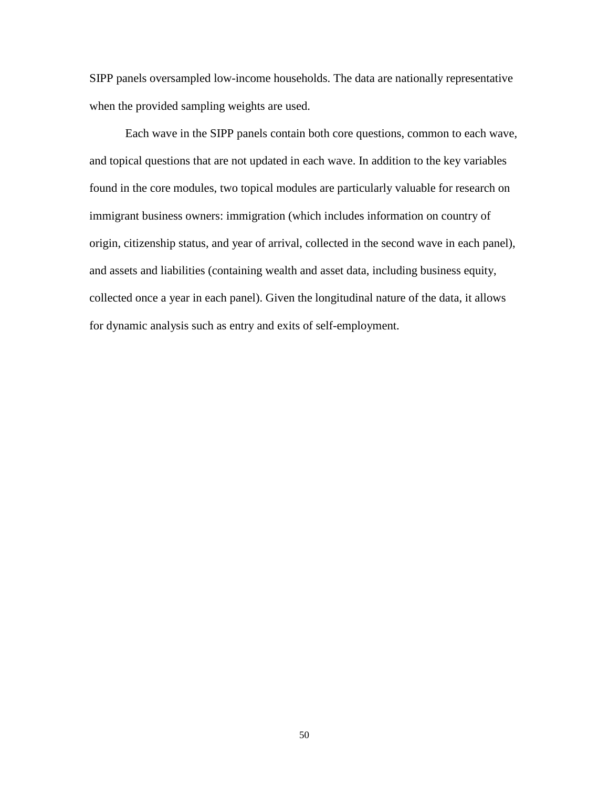SIPP panels oversampled low-income households. The data are nationally representative when the provided sampling weights are used.

Each wave in the SIPP panels contain both core questions, common to each wave, and topical questions that are not updated in each wave. In addition to the key variables found in the core modules, two topical modules are particularly valuable for research on immigrant business owners: immigration (which includes information on country of origin, citizenship status, and year of arrival, collected in the second wave in each panel), and assets and liabilities (containing wealth and asset data, including business equity, collected once a year in each panel). Given the longitudinal nature of the data, it allows for dynamic analysis such as entry and exits of self-employment.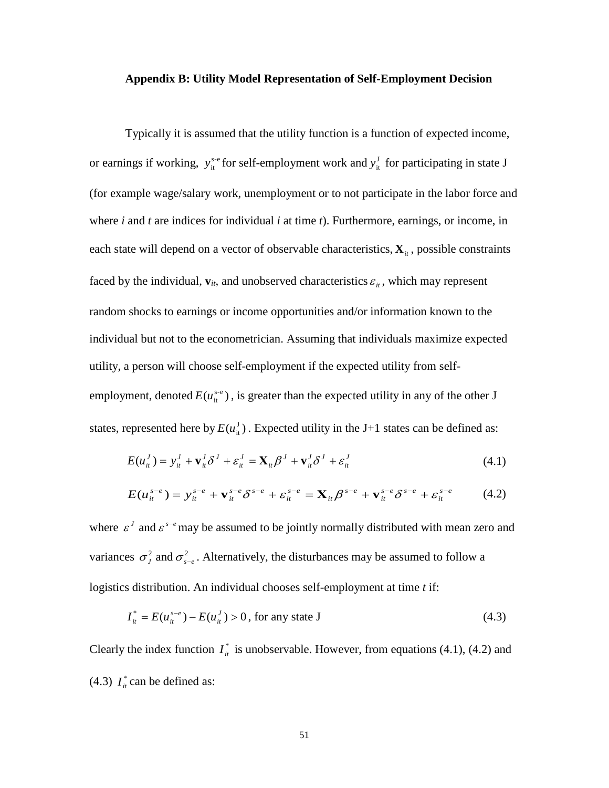#### **Appendix B: Utility Model Representation of Self-Employment Decision**

Typically it is assumed that the utility function is a function of expected income, or earnings if working,  $y_{it}^{s-e}$  for self-employment work and  $y_{it}^J$  for participating in state J (for example wage/salary work, unemployment or to not participate in the labor force and where *i* and *t* are indices for individual *i* at time *t*). Furthermore, earnings, or income, in each state will depend on a vector of observable characteristics,  $\mathbf{X}_{i}$ , possible constraints faced by the individual,  $\mathbf{v}_{it}$ , and unobserved characteristics  $\varepsilon_{it}$ , which may represent random shocks to earnings or income opportunities and/or information known to the individual but not to the econometrician. Assuming that individuals maximize expected utility, a person will choose self-employment if the expected utility from selfemployment, denoted  $E(u_{it}^{s-e})$ , is greater than the expected utility in any of the other J states, represented here by  $E(u_{\mu}^{J})$ . Expected utility in the J+1 states can be defined as:

$$
E(u_{it}^J) = y_{it}^J + \mathbf{v}_{it}^J \delta^J + \varepsilon_{it}^J = \mathbf{X}_{it} \beta^J + \mathbf{v}_{it}^J \delta^J + \varepsilon_{it}^J
$$
\n(4.1)

$$
E(u_{it}^{s-e}) = y_{it}^{s-e} + \mathbf{v}_{it}^{s-e} \delta^{s-e} + \varepsilon_{it}^{s-e} = \mathbf{X}_{it} \beta^{s-e} + \mathbf{v}_{it}^{s-e} \delta^{s-e} + \varepsilon_{it}^{s-e}
$$
 (4.2)

where  $\epsilon^J$  and  $\epsilon^{s-e}$  may be assumed to be jointly normally distributed with mean zero and variances  $\sigma_j^2$  and  $\sigma_{s-e}^2$ . Alternatively, the disturbances may be assumed to follow a logistics distribution. An individual chooses self-employment at time *t* if:

$$
I_{it}^{*} = E(u_{it}^{s-e}) - E(u_{it}^{J}) > 0, \text{ for any state J}
$$
 (4.3)

Clearly the index function  $I_{\text{in}}^*$  is unobservable. However, from equations (4.1), (4.2) and (4.3)  $I_{it}^{*}$  can be defined as: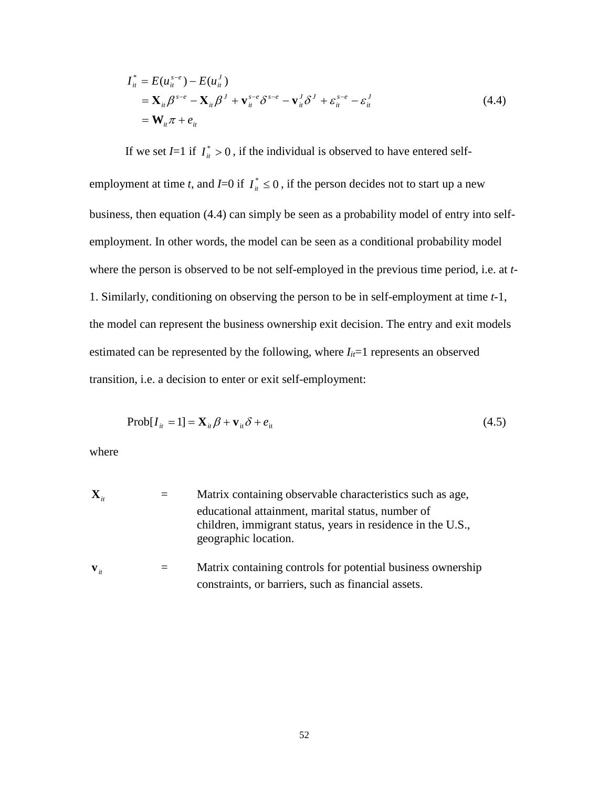$$
I_{it}^* = E(u_{it}^{s-e}) - E(u_{it}^J)
$$
  
=  $\mathbf{X}_{it} \beta^{s-e} - \mathbf{X}_{it} \beta^J + \mathbf{v}_{it}^{s-e} \delta^{s-e} - \mathbf{v}_{it}^J \delta^J + \varepsilon_{it}^{s-e} - \varepsilon_{it}^J$   
=  $\mathbf{W}_{it} \pi + e_{it}$  (4.4)

If we set *I*=1 if  $I_{ii}^* > 0$ , if the individual is observed to have entered self-

employment at time *t*, and *I*=0 if  $I_{ii}^* \le 0$ , if the person decides not to start up a new business, then equation (4.4) can simply be seen as a probability model of entry into selfemployment. In other words, the model can be seen as a conditional probability model where the person is observed to be not self-employed in the previous time period, i.e. at *t*-1. Similarly, conditioning on observing the person to be in self-employment at time *t*-1, the model can represent the business ownership exit decision. The entry and exit models estimated can be represented by the following, where  $I_{it}=1$  represents an observed transition, i.e. a decision to enter or exit self-employment:

$$
Prob[I_{it} = 1] = \mathbf{X}_{it} \boldsymbol{\beta} + \mathbf{v}_{it} \boldsymbol{\delta} + e_{it}
$$
\n(4.5)

where

| $\mathbf{X}_{i}$  | Matrix containing observable characteristics such as age,                                                                                |
|-------------------|------------------------------------------------------------------------------------------------------------------------------------------|
|                   | educational attainment, marital status, number of<br>children, immigrant status, years in residence in the U.S.,<br>geographic location. |
| $\mathbf{V}_{it}$ | Matrix containing controls for potential business ownership<br>constraints, or barriers, such as financial assets.                       |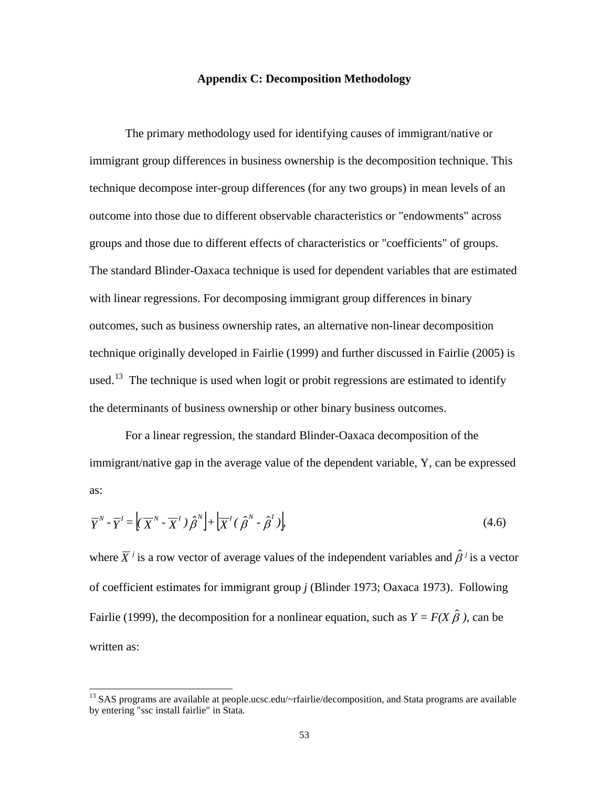#### **Appendix C: Decomposition Methodology**

The primary methodology used for identifying causes of immigrant/native or immigrant group differences in business ownership is the decomposition technique. This technique decompose inter-group differences (for any two groups) in mean levels of an outcome into those due to different observable characteristics or "endowments" across groups and those due to different effects of characteristics or "coefficients" of groups. The standard Blinder-Oaxaca technique is used for dependent variables that are estimated with linear regressions. For decomposing immigrant group differences in binary outcomes, such as business ownership rates, an alternative non-linear decomposition technique originally developed in Fairlie (1999) and further discussed in Fairlie (2005) is used.<sup>13</sup> The technique is used when logit or probit regressions are estimated to identify the determinants of business ownership or other binary business outcomes.

For a linear regression, the standard Blinder-Oaxaca decomposition of the immigrant/native gap in the average value of the dependent variable, Y, can be expressed as:

$$
\overline{Y}^N - \overline{Y}^I = \left( \overline{X}^N - \overline{X}^I \right) \hat{\beta}^N + \left[ \overline{X}^I \left( \hat{\beta}^N - \hat{\beta}^I \right) \right]
$$
\n(4.6)

where  $\overline{X}^j$  is a row vector of average values of the independent variables and  $\hat{\beta}^j$  is a vector of coefficient estimates for immigrant group *j* (Blinder 1973; Oaxaca 1973). Following Fairlie (1999), the decomposition for a nonlinear equation, such as  $Y = F(X \hat{\beta})$ , can be written as:

<span id="page-55-0"></span><sup>&</sup>lt;sup>13</sup> SAS programs are available at people.ucsc.edu/~rfairlie/decomposition, and Stata programs are available by entering "ssc install fairlie" in Stata.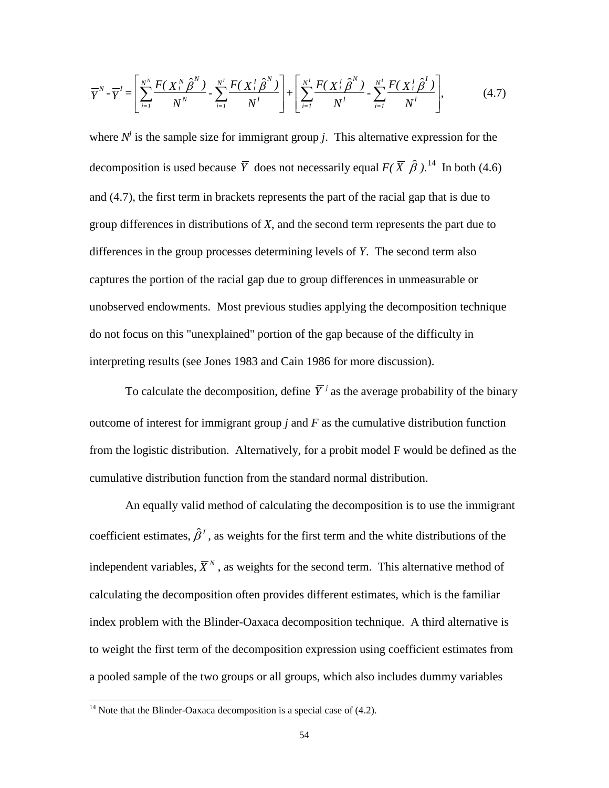$$
\overline{Y}^{N} - \overline{Y}' = \left[ \sum_{i=1}^{N^{N}} \frac{F(X_{i}^{N} \hat{\beta}^{N})}{N^{N}} - \sum_{i=1}^{N^{I}} \frac{F(X_{i}^{T} \hat{\beta}^{N})}{N^{I}} \right] + \left[ \sum_{i=1}^{N^{I}} \frac{F(X_{i}^{T} \hat{\beta}^{N})}{N^{I}} - \sum_{i=1}^{N^{I}} \frac{F(X_{i}^{T} \hat{\beta}^{I})}{N^{I}} \right],
$$
(4.7)

where  $N^j$  is the sample size for immigrant group *j*. This alternative expression for the decomposition is used because  $\overline{Y}$  does not necessarily equal  $F(\overline{X} \hat{\beta})$ .<sup>[14](#page-56-0)</sup> In both (4.6) and (4.7), the first term in brackets represents the part of the racial gap that is due to group differences in distributions of *X*, and the second term represents the part due to differences in the group processes determining levels of *Y*. The second term also captures the portion of the racial gap due to group differences in unmeasurable or unobserved endowments. Most previous studies applying the decomposition technique do not focus on this "unexplained" portion of the gap because of the difficulty in interpreting results (see Jones 1983 and Cain 1986 for more discussion).

To calculate the decomposition, define  $\overline{Y}^j$  as the average probability of the binary outcome of interest for immigrant group *j* and *F* as the cumulative distribution function from the logistic distribution. Alternatively, for a probit model F would be defined as the cumulative distribution function from the standard normal distribution.

An equally valid method of calculating the decomposition is to use the immigrant coefficient estimates,  $\hat{\beta}^I$ , as weights for the first term and the white distributions of the independent variables,  $\overline{X}^N$ , as weights for the second term. This alternative method of calculating the decomposition often provides different estimates, which is the familiar index problem with the Blinder-Oaxaca decomposition technique. A third alternative is to weight the first term of the decomposition expression using coefficient estimates from a pooled sample of the two groups or all groups, which also includes dummy variables

<span id="page-56-0"></span><sup>&</sup>lt;sup>14</sup> Note that the Blinder-Oaxaca decomposition is a special case of  $(4.2)$ .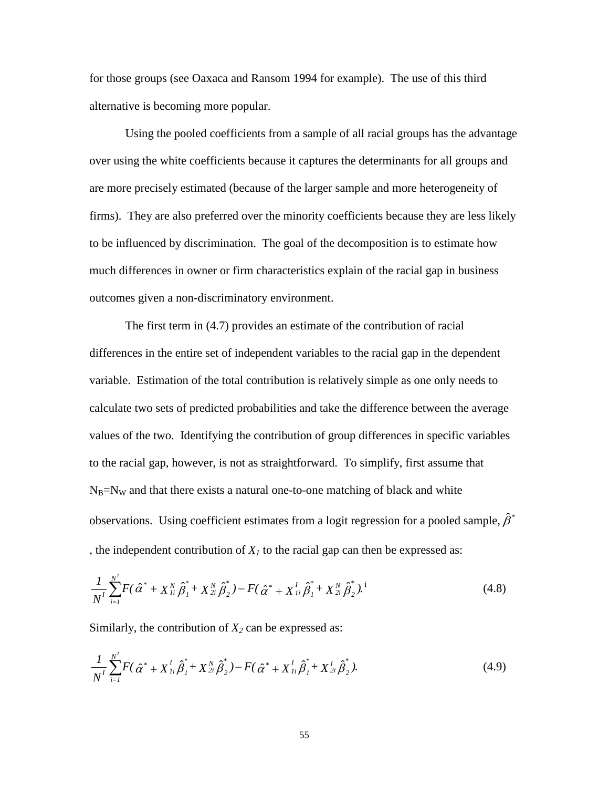for those groups (see Oaxaca and Ransom 1994 for example). The use of this third alternative is becoming more popular.

Using the pooled coefficients from a sample of all racial groups has the advantage over using the white coefficients because it captures the determinants for all groups and are more precisely estimated (because of the larger sample and more heterogeneity of firms). They are also preferred over the minority coefficients because they are less likely to be influenced by discrimination. The goal of the decomposition is to estimate how much differences in owner or firm characteristics explain of the racial gap in business outcomes given a non-discriminatory environment.

The first term in (4.7) provides an estimate of the contribution of racial differences in the entire set of independent variables to the racial gap in the dependent variable. Estimation of the total contribution is relatively simple as one only needs to calculate two sets of predicted probabilities and take the difference between the average values of the two. Identifying the contribution of group differences in specific variables to the racial gap, however, is not as straightforward. To simplify, first assume that  $N_B=N_W$  and that there exists a natural one-to-one matching of black and white observations. Using coefficient estimates from a logit regression for a pooled sample,  $\hat{\beta}^*$ , the independent contribution of  $X_I$  to the racial gap can then be expressed as:

$$
\frac{1}{N^I} \sum_{i=1}^{N^I} F(\hat{\alpha}^* + X_{1i}^N \hat{\beta}_1^* + X_{2i}^N \hat{\beta}_2^*) - F(\hat{\alpha}^* + X_{1i}^I \hat{\beta}_1^* + X_{2i}^N \hat{\beta}_2^*).
$$
\n(4.8)

Similarly, the contribution of  $X_2$  can be expressed as:

$$
\frac{1}{N^I} \sum_{i=1}^{N^I} F(\hat{\alpha}^* + X_{1i}^I \hat{\beta}_1^* + X_{2i}^N \hat{\beta}_2^*) - F(\hat{\alpha}^* + X_{1i}^I \hat{\beta}_1^* + X_{2i}^I \hat{\beta}_2^*).
$$
(4.9)